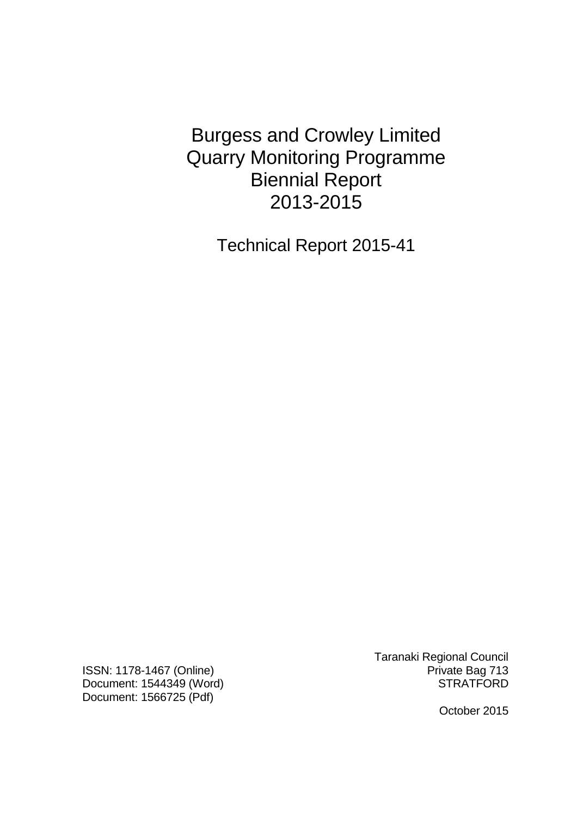Burgess and Crowley Limited Quarry Monitoring Programme Biennial Report 2013-2015

Technical Report 2015-41

ISSN: 1178-1467 (Online) **Private Bag 713** Document: 1544349 (Word) STRATFORD Document: 1566725 (Pdf)

Taranaki Regional Council

October 2015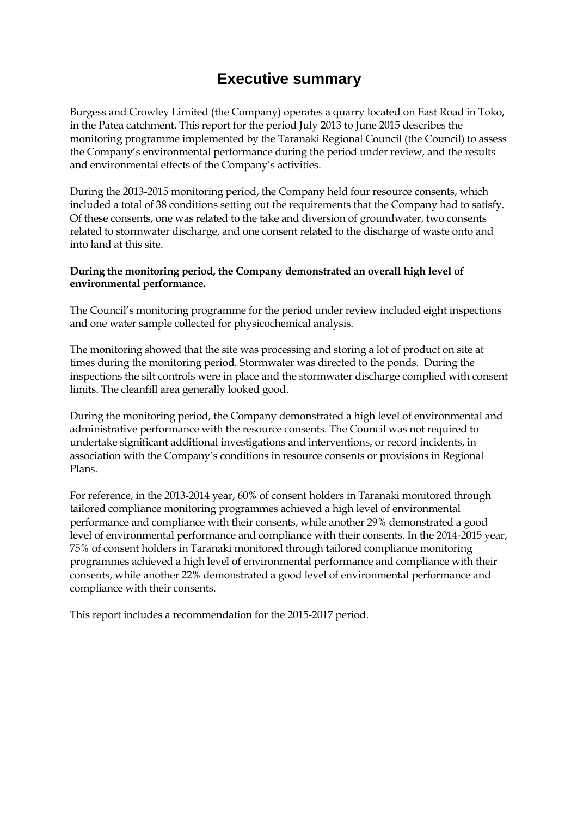# **Executive summary**

Burgess and Crowley Limited (the Company) operates a quarry located on East Road in Toko, in the Patea catchment. This report for the period July 2013 to June 2015 describes the monitoring programme implemented by the Taranaki Regional Council (the Council) to assess the Company's environmental performance during the period under review, and the results and environmental effects of the Company's activities.

During the 2013-2015 monitoring period, the Company held four resource consents, which included a total of 38 conditions setting out the requirements that the Company had to satisfy. Of these consents, one was related to the take and diversion of groundwater, two consents related to stormwater discharge, and one consent related to the discharge of waste onto and into land at this site.

#### **During the monitoring period, the Company demonstrated an overall high level of environmental performance.**

The Council's monitoring programme for the period under review included eight inspections and one water sample collected for physicochemical analysis.

The monitoring showed that the site was processing and storing a lot of product on site at times during the monitoring period. Stormwater was directed to the ponds. During the inspections the silt controls were in place and the stormwater discharge complied with consent limits. The cleanfill area generally looked good.

During the monitoring period, the Company demonstrated a high level of environmental and administrative performance with the resource consents. The Council was not required to undertake significant additional investigations and interventions, or record incidents, in association with the Company's conditions in resource consents or provisions in Regional Plans.

For reference, in the 2013-2014 year, 60% of consent holders in Taranaki monitored through tailored compliance monitoring programmes achieved a high level of environmental performance and compliance with their consents, while another 29% demonstrated a good level of environmental performance and compliance with their consents. In the 2014-2015 year, 75% of consent holders in Taranaki monitored through tailored compliance monitoring programmes achieved a high level of environmental performance and compliance with their consents, while another 22% demonstrated a good level of environmental performance and compliance with their consents.

This report includes a recommendation for the 2015-2017 period.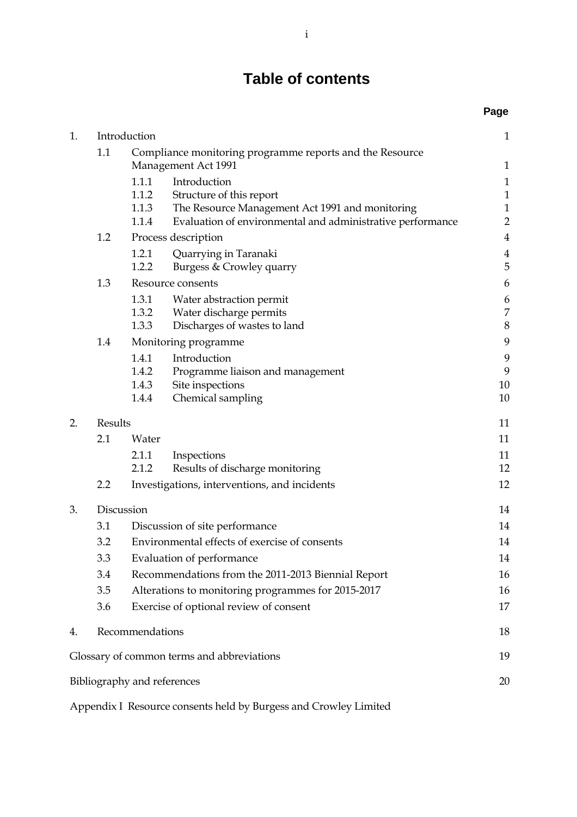# **Table of contents**

|    |                                                                                        |                                                    |                                                            | Page                |
|----|----------------------------------------------------------------------------------------|----------------------------------------------------|------------------------------------------------------------|---------------------|
| 1. | Introduction                                                                           |                                                    |                                                            | $\mathbf{1}$        |
|    | 1.1<br>Compliance monitoring programme reports and the Resource<br>Management Act 1991 |                                                    |                                                            |                     |
|    |                                                                                        | 1.1.1                                              | Introduction                                               | $\mathbf{1}$        |
|    |                                                                                        | 1.1.2                                              | Structure of this report                                   | $\mathbf 1$         |
|    |                                                                                        | 1.1.3                                              | The Resource Management Act 1991 and monitoring            | $\mathbf 1$         |
|    |                                                                                        | 1.1.4                                              | Evaluation of environmental and administrative performance | $\overline{2}$      |
|    | 1.2                                                                                    |                                                    | Process description                                        | $\bf 4$             |
|    |                                                                                        | 1.2.1<br>1.2.2                                     | Quarrying in Taranaki<br>Burgess & Crowley quarry          | $\overline{4}$<br>5 |
|    | 1.3                                                                                    |                                                    | Resource consents                                          | 6                   |
|    |                                                                                        | 1.3.1                                              | Water abstraction permit                                   | 6                   |
|    |                                                                                        | 1.3.2                                              | Water discharge permits                                    | $\boldsymbol{7}$    |
|    |                                                                                        | 1.3.3                                              | Discharges of wastes to land                               | $\,8\,$             |
|    | 1.4                                                                                    |                                                    | Monitoring programme                                       | 9                   |
|    |                                                                                        | 1.4.1                                              | Introduction                                               | 9                   |
|    |                                                                                        | 1.4.2                                              | Programme liaison and management                           | 9                   |
|    |                                                                                        | 1.4.3                                              | Site inspections                                           | 10                  |
|    |                                                                                        | 1.4.4                                              | Chemical sampling                                          | 10                  |
| 2. | Results                                                                                |                                                    |                                                            | 11                  |
|    | 2.1                                                                                    | Water                                              |                                                            | 11                  |
|    |                                                                                        | 2.1.1                                              | Inspections                                                | 11                  |
|    |                                                                                        | 2.1.2                                              | Results of discharge monitoring                            | 12                  |
|    | 2.2                                                                                    |                                                    | Investigations, interventions, and incidents               | 12                  |
| 3. | Discussion                                                                             |                                                    |                                                            | 14                  |
|    | 3.1                                                                                    |                                                    | Discussion of site performance                             | 14                  |
|    | 3.2                                                                                    | Environmental effects of exercise of consents      |                                                            | 14                  |
|    | 3.3                                                                                    | Evaluation of performance                          |                                                            | 14                  |
|    | 3.4                                                                                    | Recommendations from the 2011-2013 Biennial Report |                                                            | 16                  |
|    | 3.5                                                                                    |                                                    | Alterations to monitoring programmes for 2015-2017         | 16                  |
|    | 3.6                                                                                    |                                                    | Exercise of optional review of consent                     | 17                  |
| 4. |                                                                                        | Recommendations                                    |                                                            | 18                  |
|    |                                                                                        |                                                    | Glossary of common terms and abbreviations                 | 19                  |
|    |                                                                                        | Bibliography and references                        |                                                            | 20                  |

Appendix I Resource consents held by Burgess and Crowley Limited 1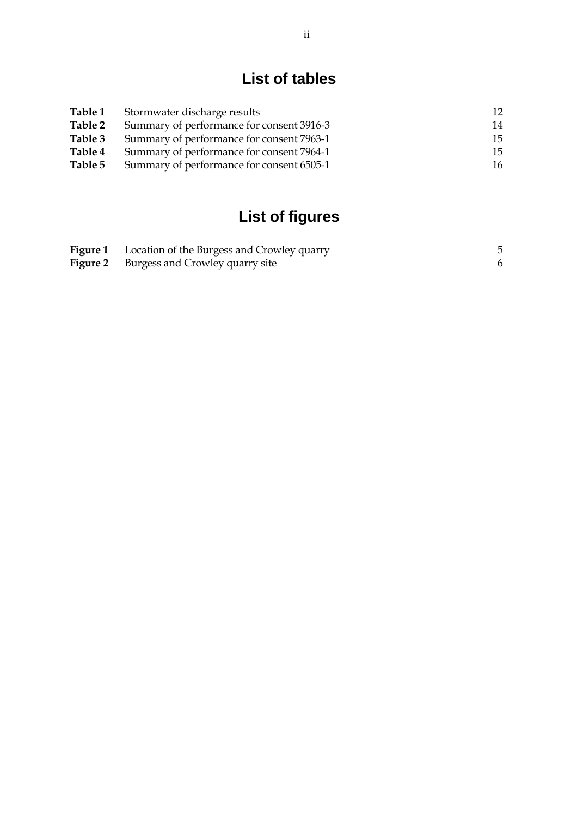# **List of tables**

| <b>Table 1</b> | Stormwater discharge results              | 12 |
|----------------|-------------------------------------------|----|
| Table 2        | Summary of performance for consent 3916-3 | 14 |
| Table 3        | Summary of performance for consent 7963-1 | 15 |
| Table 4        | Summary of performance for consent 7964-1 | 15 |
| Table 5        | Summary of performance for consent 6505-1 | 16 |

# **List of figures**

| <b>Figure 1</b> Location of the Burgess and Crowley quarry |  |
|------------------------------------------------------------|--|
| <b>Figure 2</b> Burgess and Crowley quarry site            |  |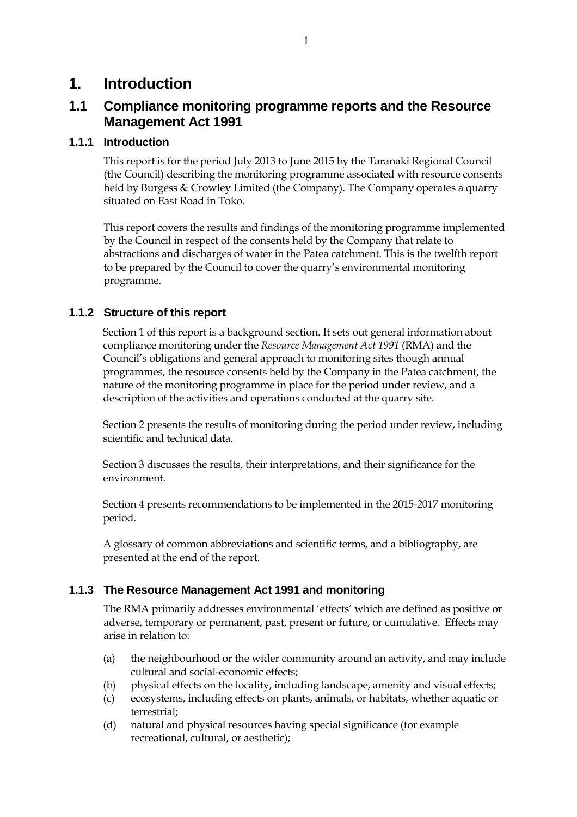# **1. Introduction**

## **1.1 Compliance monitoring programme reports and the Resource Management Act 1991**

### **1.1.1 Introduction**

This report is for the period July 2013 to June 2015 by the Taranaki Regional Council (the Council) describing the monitoring programme associated with resource consents held by Burgess & Crowley Limited (the Company). The Company operates a quarry situated on East Road in Toko.

This report covers the results and findings of the monitoring programme implemented by the Council in respect of the consents held by the Company that relate to abstractions and discharges of water in the Patea catchment. This is the twelfth report to be prepared by the Council to cover the quarry's environmental monitoring programme.

## **1.1.2 Structure of this report**

Section 1 of this report is a background section. It sets out general information about compliance monitoring under the *Resource Management Act 1991* (RMA) and the Council's obligations and general approach to monitoring sites though annual programmes, the resource consents held by the Company in the Patea catchment, the nature of the monitoring programme in place for the period under review, and a description of the activities and operations conducted at the quarry site.

Section 2 presents the results of monitoring during the period under review, including scientific and technical data.

Section 3 discusses the results, their interpretations, and their significance for the environment.

Section 4 presents recommendations to be implemented in the 2015-2017 monitoring period.

A glossary of common abbreviations and scientific terms, and a bibliography, are presented at the end of the report.

## **1.1.3 The Resource Management Act 1991 and monitoring**

The RMA primarily addresses environmental 'effects' which are defined as positive or adverse, temporary or permanent, past, present or future, or cumulative. Effects may arise in relation to:

- (a) the neighbourhood or the wider community around an activity, and may include cultural and social-economic effects;
- (b) physical effects on the locality, including landscape, amenity and visual effects;
- (c) ecosystems, including effects on plants, animals, or habitats, whether aquatic or terrestrial;
- (d) natural and physical resources having special significance (for example recreational, cultural, or aesthetic);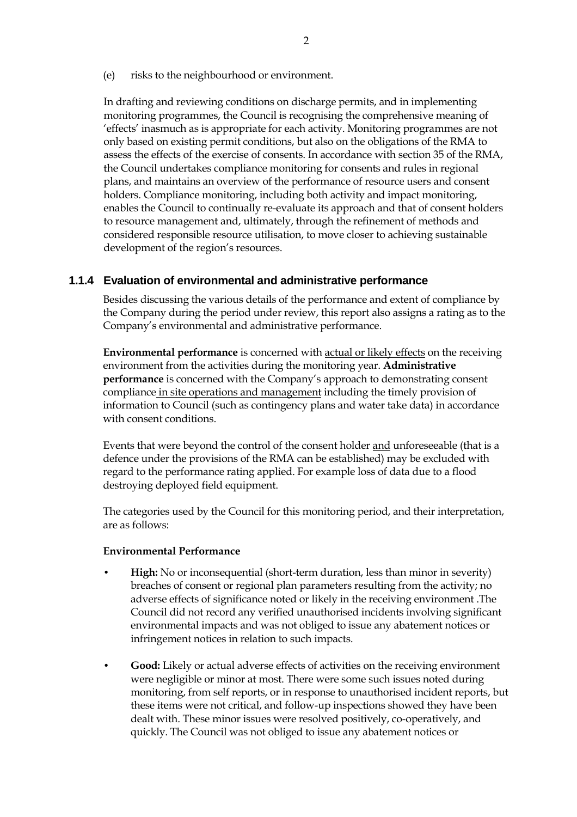(e) risks to the neighbourhood or environment.

In drafting and reviewing conditions on discharge permits, and in implementing monitoring programmes, the Council is recognising the comprehensive meaning of 'effects' inasmuch as is appropriate for each activity. Monitoring programmes are not only based on existing permit conditions, but also on the obligations of the RMA to assess the effects of the exercise of consents. In accordance with section 35 of the RMA, the Council undertakes compliance monitoring for consents and rules in regional plans, and maintains an overview of the performance of resource users and consent holders. Compliance monitoring, including both activity and impact monitoring, enables the Council to continually re-evaluate its approach and that of consent holders to resource management and, ultimately, through the refinement of methods and considered responsible resource utilisation, to move closer to achieving sustainable development of the region's resources.

#### **1.1.4 Evaluation of environmental and administrative performance**

Besides discussing the various details of the performance and extent of compliance by the Company during the period under review, this report also assigns a rating as to the Company's environmental and administrative performance.

**Environmental performance** is concerned with actual or likely effects on the receiving environment from the activities during the monitoring year. **Administrative performance** is concerned with the Company's approach to demonstrating consent compliance in site operations and management including the timely provision of information to Council (such as contingency plans and water take data) in accordance with consent conditions.

Events that were beyond the control of the consent holder and unforeseeable (that is a defence under the provisions of the RMA can be established) may be excluded with regard to the performance rating applied. For example loss of data due to a flood destroying deployed field equipment.

The categories used by the Council for this monitoring period, and their interpretation, are as follows:

#### **Environmental Performance**

- **High:** No or inconsequential (short-term duration, less than minor in severity) breaches of consent or regional plan parameters resulting from the activity; no adverse effects of significance noted or likely in the receiving environment .The Council did not record any verified unauthorised incidents involving significant environmental impacts and was not obliged to issue any abatement notices or infringement notices in relation to such impacts.
- **Good:** Likely or actual adverse effects of activities on the receiving environment were negligible or minor at most. There were some such issues noted during monitoring, from self reports, or in response to unauthorised incident reports, but these items were not critical, and follow-up inspections showed they have been dealt with. These minor issues were resolved positively, co-operatively, and quickly. The Council was not obliged to issue any abatement notices or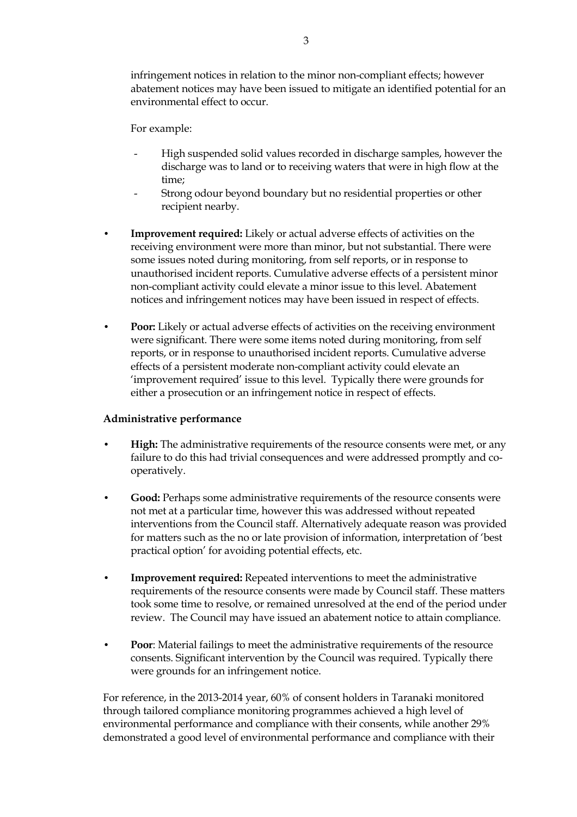infringement notices in relation to the minor non-compliant effects; however abatement notices may have been issued to mitigate an identified potential for an environmental effect to occur.

For example:

- High suspended solid values recorded in discharge samples, however the discharge was to land or to receiving waters that were in high flow at the time;
- Strong odour beyond boundary but no residential properties or other recipient nearby.
- **Improvement required:** Likely or actual adverse effects of activities on the receiving environment were more than minor, but not substantial. There were some issues noted during monitoring, from self reports, or in response to unauthorised incident reports. Cumulative adverse effects of a persistent minor non-compliant activity could elevate a minor issue to this level. Abatement notices and infringement notices may have been issued in respect of effects.
- **Poor:** Likely or actual adverse effects of activities on the receiving environment were significant. There were some items noted during monitoring, from self reports, or in response to unauthorised incident reports. Cumulative adverse effects of a persistent moderate non-compliant activity could elevate an 'improvement required' issue to this level. Typically there were grounds for either a prosecution or an infringement notice in respect of effects.

#### **Administrative performance**

- **High:** The administrative requirements of the resource consents were met, or any failure to do this had trivial consequences and were addressed promptly and cooperatively.
- **Good:** Perhaps some administrative requirements of the resource consents were not met at a particular time, however this was addressed without repeated interventions from the Council staff. Alternatively adequate reason was provided for matters such as the no or late provision of information, interpretation of 'best practical option' for avoiding potential effects, etc.
- **Improvement required:** Repeated interventions to meet the administrative requirements of the resource consents were made by Council staff. These matters took some time to resolve, or remained unresolved at the end of the period under review. The Council may have issued an abatement notice to attain compliance.
- **Poor**: Material failings to meet the administrative requirements of the resource consents. Significant intervention by the Council was required. Typically there were grounds for an infringement notice.

For reference, in the 2013-2014 year, 60% of consent holders in Taranaki monitored through tailored compliance monitoring programmes achieved a high level of environmental performance and compliance with their consents, while another 29% demonstrated a good level of environmental performance and compliance with their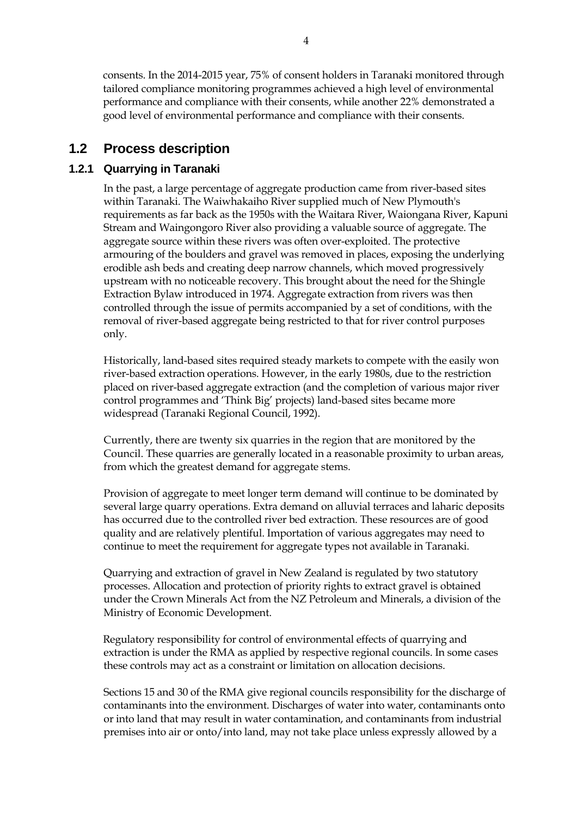consents. In the 2014-2015 year, 75% of consent holders in Taranaki monitored through tailored compliance monitoring programmes achieved a high level of environmental performance and compliance with their consents, while another 22% demonstrated a good level of environmental performance and compliance with their consents.

## **1.2 Process description**

## **1.2.1 Quarrying in Taranaki**

 In the past, a large percentage of aggregate production came from river-based sites within Taranaki. The Waiwhakaiho River supplied much of New Plymouth's requirements as far back as the 1950s with the Waitara River, Waiongana River, Kapuni Stream and Waingongoro River also providing a valuable source of aggregate. The aggregate source within these rivers was often over-exploited. The protective armouring of the boulders and gravel was removed in places, exposing the underlying erodible ash beds and creating deep narrow channels, which moved progressively upstream with no noticeable recovery. This brought about the need for the Shingle Extraction Bylaw introduced in 1974. Aggregate extraction from rivers was then controlled through the issue of permits accompanied by a set of conditions, with the removal of river-based aggregate being restricted to that for river control purposes only.

 Historically, land-based sites required steady markets to compete with the easily won river-based extraction operations. However, in the early 1980s, due to the restriction placed on river-based aggregate extraction (and the completion of various major river control programmes and 'Think Big' projects) land-based sites became more widespread (Taranaki Regional Council, 1992).

Currently, there are twenty six quarries in the region that are monitored by the Council. These quarries are generally located in a reasonable proximity to urban areas, from which the greatest demand for aggregate stems.

Provision of aggregate to meet longer term demand will continue to be dominated by several large quarry operations. Extra demand on alluvial terraces and laharic deposits has occurred due to the controlled river bed extraction. These resources are of good quality and are relatively plentiful. Importation of various aggregates may need to continue to meet the requirement for aggregate types not available in Taranaki.

 Quarrying and extraction of gravel in New Zealand is regulated by two statutory processes. Allocation and protection of priority rights to extract gravel is obtained under the Crown Minerals Act from the NZ Petroleum and Minerals, a division of the Ministry of Economic Development.

Regulatory responsibility for control of environmental effects of quarrying and extraction is under the RMA as applied by respective regional councils. In some cases these controls may act as a constraint or limitation on allocation decisions.

 Sections 15 and 30 of the RMA give regional councils responsibility for the discharge of contaminants into the environment. Discharges of water into water, contaminants onto or into land that may result in water contamination, and contaminants from industrial premises into air or onto/into land, may not take place unless expressly allowed by a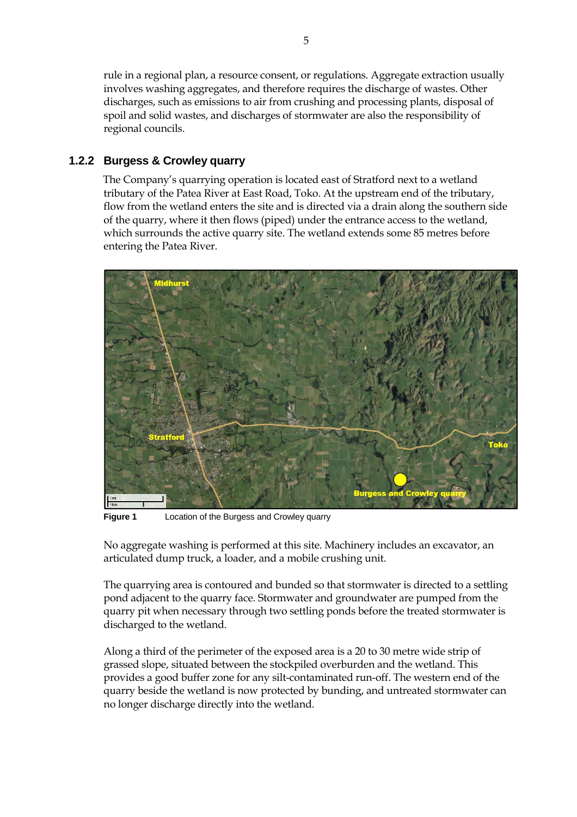rule in a regional plan, a resource consent, or regulations. Aggregate extraction usually involves washing aggregates, and therefore requires the discharge of wastes. Other discharges, such as emissions to air from crushing and processing plants, disposal of spoil and solid wastes, and discharges of stormwater are also the responsibility of regional councils.

### **1.2.2 Burgess & Crowley quarry**

The Company's quarrying operation is located east of Stratford next to a wetland tributary of the Patea River at East Road, Toko. At the upstream end of the tributary, flow from the wetland enters the site and is directed via a drain along the southern side of the quarry, where it then flows (piped) under the entrance access to the wetland, which surrounds the active quarry site. The wetland extends some 85 metres before entering the Patea River.



**Figure 1** Location of the Burgess and Crowley quarry

No aggregate washing is performed at this site. Machinery includes an excavator, an articulated dump truck, a loader, and a mobile crushing unit.

The quarrying area is contoured and bunded so that stormwater is directed to a settling pond adjacent to the quarry face. Stormwater and groundwater are pumped from the quarry pit when necessary through two settling ponds before the treated stormwater is discharged to the wetland.

Along a third of the perimeter of the exposed area is a 20 to 30 metre wide strip of grassed slope, situated between the stockpiled overburden and the wetland. This provides a good buffer zone for any silt-contaminated run-off. The western end of the quarry beside the wetland is now protected by bunding, and untreated stormwater can no longer discharge directly into the wetland.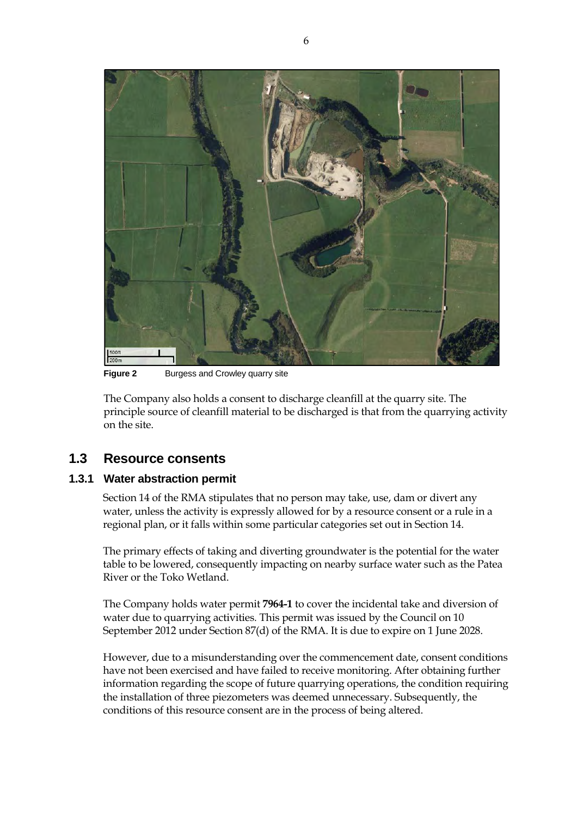

**Figure 2** Burgess and Crowley quarry site

The Company also holds a consent to discharge cleanfill at the quarry site. The principle source of cleanfill material to be discharged is that from the quarrying activity on the site.

## **1.3 Resource consents**

#### **1.3.1 Water abstraction permit**

Section 14 of the RMA stipulates that no person may take, use, dam or divert any water, unless the activity is expressly allowed for by a resource consent or a rule in a regional plan, or it falls within some particular categories set out in Section 14.

The primary effects of taking and diverting groundwater is the potential for the water table to be lowered, consequently impacting on nearby surface water such as the Patea River or the Toko Wetland.

The Company holds water permit **7964-1** to cover the incidental take and diversion of water due to quarrying activities*.* This permit was issued by the Council on 10 September 2012 under Section 87(d) of the RMA. It is due to expire on 1 June 2028.

However, due to a misunderstanding over the commencement date, consent conditions have not been exercised and have failed to receive monitoring. After obtaining further information regarding the scope of future quarrying operations, the condition requiring the installation of three piezometers was deemed unnecessary. Subsequently, the conditions of this resource consent are in the process of being altered.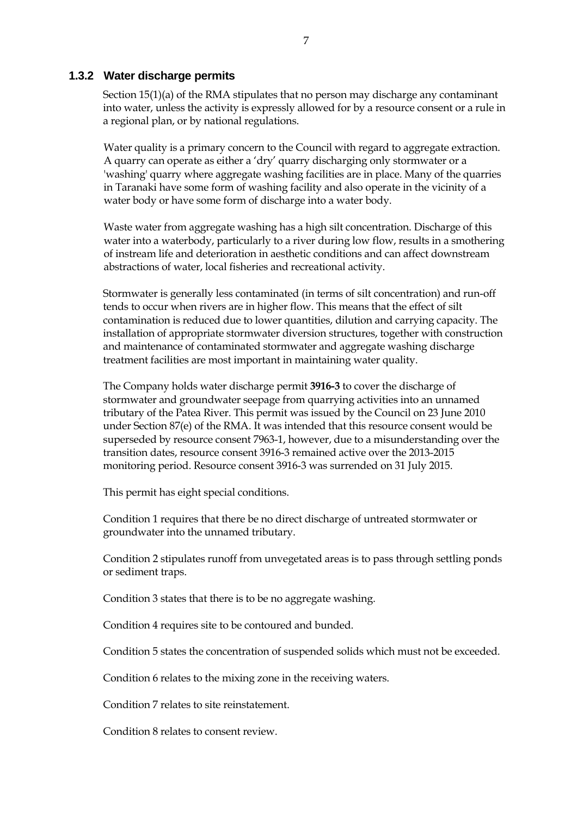#### **1.3.2 Water discharge permits**

Section 15(1)(a) of the RMA stipulates that no person may discharge any contaminant into water, unless the activity is expressly allowed for by a resource consent or a rule in a regional plan, or by national regulations.

 Water quality is a primary concern to the Council with regard to aggregate extraction. A quarry can operate as either a 'dry' quarry discharging only stormwater or a 'washing' quarry where aggregate washing facilities are in place. Many of the quarries in Taranaki have some form of washing facility and also operate in the vicinity of a water body or have some form of discharge into a water body.

 Waste water from aggregate washing has a high silt concentration. Discharge of this water into a waterbody, particularly to a river during low flow, results in a smothering of instream life and deterioration in aesthetic conditions and can affect downstream abstractions of water, local fisheries and recreational activity.

Stormwater is generally less contaminated (in terms of silt concentration) and run-off tends to occur when rivers are in higher flow. This means that the effect of silt contamination is reduced due to lower quantities, dilution and carrying capacity. The installation of appropriate stormwater diversion structures, together with construction and maintenance of contaminated stormwater and aggregate washing discharge treatment facilities are most important in maintaining water quality.

The Company holds water discharge permit **3916-3** to cover the discharge of stormwater and groundwater seepage from quarrying activities into an unnamed tributary of the Patea River. This permit was issued by the Council on 23 June 2010 under Section 87(e) of the RMA. It was intended that this resource consent would be superseded by resource consent 7963-1, however, due to a misunderstanding over the transition dates, resource consent 3916-3 remained active over the 2013-2015 monitoring period. Resource consent 3916-3 was surrended on 31 July 2015.

This permit has eight special conditions.

Condition 1 requires that there be no direct discharge of untreated stormwater or groundwater into the unnamed tributary.

Condition 2 stipulates runoff from unvegetated areas is to pass through settling ponds or sediment traps.

Condition 3 states that there is to be no aggregate washing.

Condition 4 requires site to be contoured and bunded.

Condition 5 states the concentration of suspended solids which must not be exceeded.

Condition 6 relates to the mixing zone in the receiving waters.

Condition 7 relates to site reinstatement.

Condition 8 relates to consent review.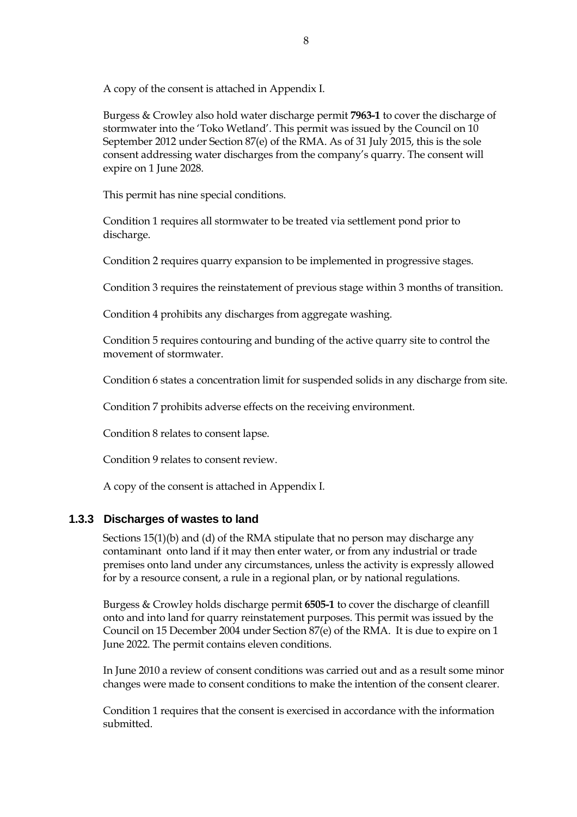A copy of the consent is attached in Appendix I.

Burgess & Crowley also hold water discharge permit **7963-1** to cover the discharge of stormwater into the 'Toko Wetland'. This permit was issued by the Council on 10 September 2012 under Section 87(e) of the RMA. As of 31 July 2015, this is the sole consent addressing water discharges from the company's quarry. The consent will expire on 1 June 2028.

This permit has nine special conditions.

Condition 1 requires all stormwater to be treated via settlement pond prior to discharge.

Condition 2 requires quarry expansion to be implemented in progressive stages.

Condition 3 requires the reinstatement of previous stage within 3 months of transition.

Condition 4 prohibits any discharges from aggregate washing.

Condition 5 requires contouring and bunding of the active quarry site to control the movement of stormwater.

Condition 6 states a concentration limit for suspended solids in any discharge from site.

Condition 7 prohibits adverse effects on the receiving environment.

Condition 8 relates to consent lapse.

Condition 9 relates to consent review.

A copy of the consent is attached in Appendix I.

#### **1.3.3 Discharges of wastes to land**

Sections 15(1)(b) and (d) of the RMA stipulate that no person may discharge any contaminant onto land if it may then enter water, or from any industrial or trade premises onto land under any circumstances, unless the activity is expressly allowed for by a resource consent, a rule in a regional plan, or by national regulations.

Burgess & Crowley holds discharge permit **6505-1** to cover the discharge of cleanfill onto and into land for quarry reinstatement purposes. This permit was issued by the Council on 15 December 2004 under Section 87(e) of the RMA. It is due to expire on 1 June 2022. The permit contains eleven conditions.

In June 2010 a review of consent conditions was carried out and as a result some minor changes were made to consent conditions to make the intention of the consent clearer.

Condition 1 requires that the consent is exercised in accordance with the information submitted.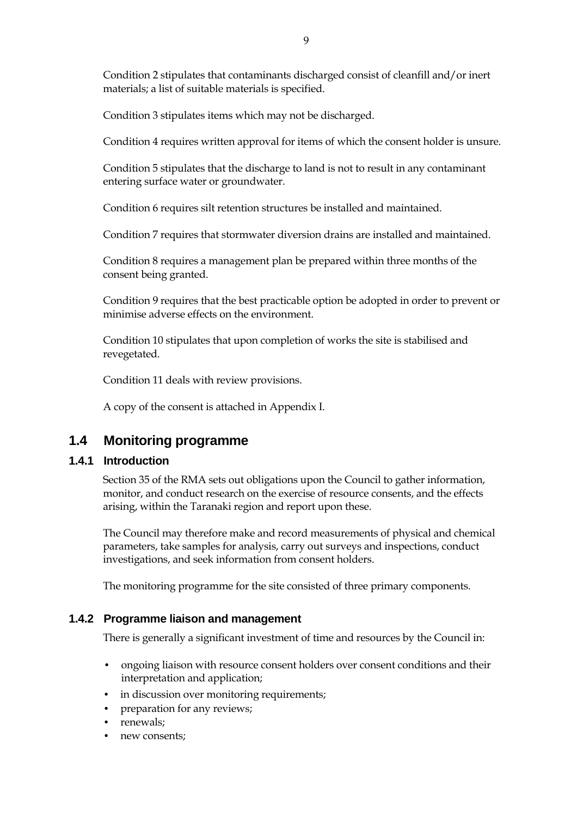Condition 2 stipulates that contaminants discharged consist of cleanfill and/or inert materials; a list of suitable materials is specified.

Condition 3 stipulates items which may not be discharged.

Condition 4 requires written approval for items of which the consent holder is unsure.

Condition 5 stipulates that the discharge to land is not to result in any contaminant entering surface water or groundwater.

Condition 6 requires silt retention structures be installed and maintained.

Condition 7 requires that stormwater diversion drains are installed and maintained.

Condition 8 requires a management plan be prepared within three months of the consent being granted.

Condition 9 requires that the best practicable option be adopted in order to prevent or minimise adverse effects on the environment.

Condition 10 stipulates that upon completion of works the site is stabilised and revegetated.

Condition 11 deals with review provisions.

A copy of the consent is attached in Appendix I.

## **1.4 Monitoring programme**

#### **1.4.1 Introduction**

Section 35 of the RMA sets out obligations upon the Council to gather information, monitor, and conduct research on the exercise of resource consents, and the effects arising, within the Taranaki region and report upon these.

The Council may therefore make and record measurements of physical and chemical parameters, take samples for analysis, carry out surveys and inspections, conduct investigations, and seek information from consent holders.

The monitoring programme for the site consisted of three primary components.

#### **1.4.2 Programme liaison and management**

There is generally a significant investment of time and resources by the Council in:

- ongoing liaison with resource consent holders over consent conditions and their interpretation and application;
- in discussion over monitoring requirements;
- preparation for any reviews;
- renewals;
- new consents;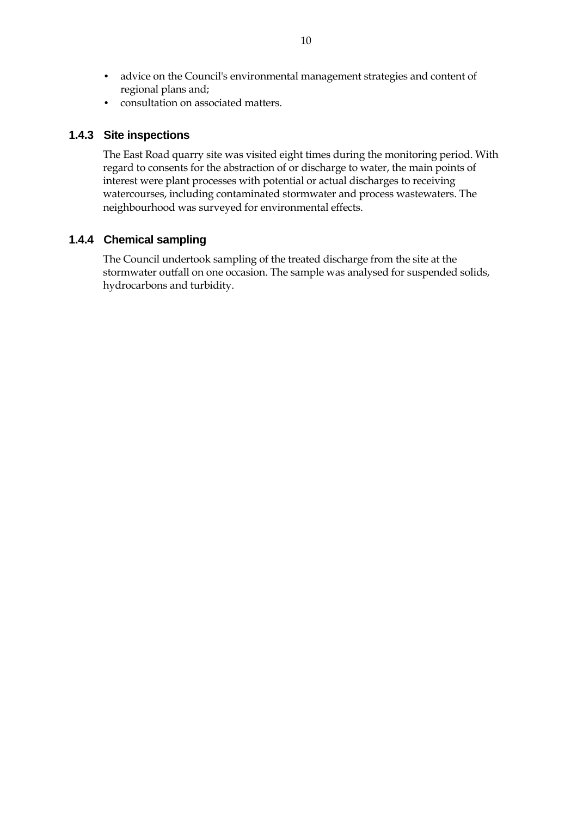- advice on the Council's environmental management strategies and content of regional plans and;
- consultation on associated matters.

#### **1.4.3 Site inspections**

The East Road quarry site was visited eight times during the monitoring period. With regard to consents for the abstraction of or discharge to water, the main points of interest were plant processes with potential or actual discharges to receiving watercourses, including contaminated stormwater and process wastewaters. The neighbourhood was surveyed for environmental effects.

#### **1.4.4 Chemical sampling**

The Council undertook sampling of the treated discharge from the site at the stormwater outfall on one occasion. The sample was analysed for suspended solids, hydrocarbons and turbidity.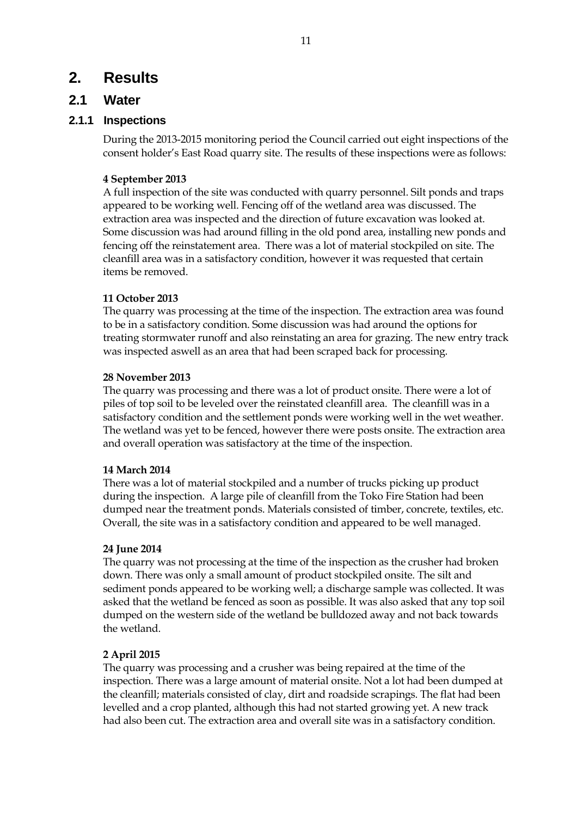# **2. Results**

## **2.1 Water**

### **2.1.1 Inspections**

During the 2013-2015 monitoring period the Council carried out eight inspections of the consent holder's East Road quarry site. The results of these inspections were as follows:

### **4 September 2013**

A full inspection of the site was conducted with quarry personnel. Silt ponds and traps appeared to be working well. Fencing off of the wetland area was discussed. The extraction area was inspected and the direction of future excavation was looked at. Some discussion was had around filling in the old pond area, installing new ponds and fencing off the reinstatement area. There was a lot of material stockpiled on site. The cleanfill area was in a satisfactory condition, however it was requested that certain items be removed.

#### **11 October 2013**

The quarry was processing at the time of the inspection. The extraction area was found to be in a satisfactory condition. Some discussion was had around the options for treating stormwater runoff and also reinstating an area for grazing. The new entry track was inspected aswell as an area that had been scraped back for processing.

#### **28 November 2013**

The quarry was processing and there was a lot of product onsite. There were a lot of piles of top soil to be leveled over the reinstated cleanfill area. The cleanfill was in a satisfactory condition and the settlement ponds were working well in the wet weather. The wetland was yet to be fenced, however there were posts onsite. The extraction area and overall operation was satisfactory at the time of the inspection.

#### **14 March 2014**

There was a lot of material stockpiled and a number of trucks picking up product during the inspection. A large pile of cleanfill from the Toko Fire Station had been dumped near the treatment ponds. Materials consisted of timber, concrete, textiles, etc. Overall, the site was in a satisfactory condition and appeared to be well managed.

#### **24 June 2014**

The quarry was not processing at the time of the inspection as the crusher had broken down. There was only a small amount of product stockpiled onsite. The silt and sediment ponds appeared to be working well; a discharge sample was collected. It was asked that the wetland be fenced as soon as possible. It was also asked that any top soil dumped on the western side of the wetland be bulldozed away and not back towards the wetland.

#### **2 April 2015**

The quarry was processing and a crusher was being repaired at the time of the inspection. There was a large amount of material onsite. Not a lot had been dumped at the cleanfill; materials consisted of clay, dirt and roadside scrapings. The flat had been levelled and a crop planted, although this had not started growing yet. A new track had also been cut. The extraction area and overall site was in a satisfactory condition.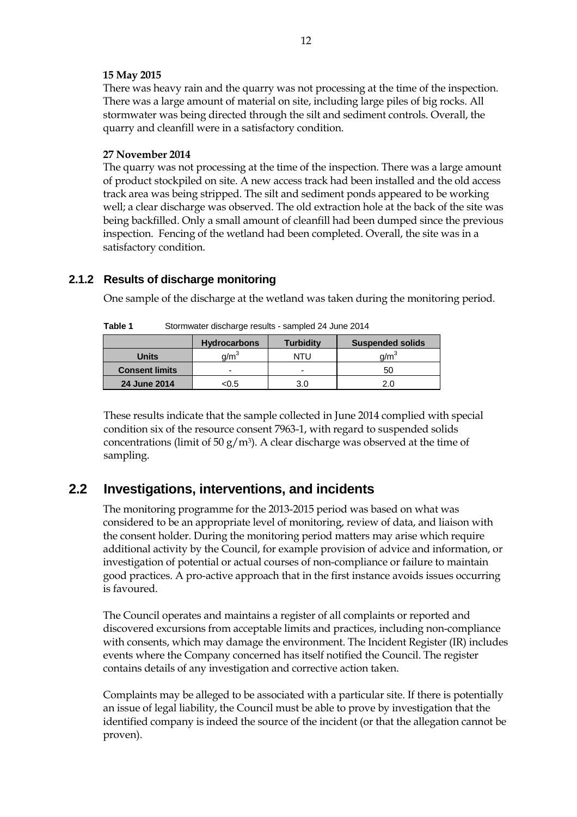#### **15 May 2015**

There was heavy rain and the quarry was not processing at the time of the inspection. There was a large amount of material on site, including large piles of big rocks. All stormwater was being directed through the silt and sediment controls. Overall, the quarry and cleanfill were in a satisfactory condition.

#### **27 November 2014**

The quarry was not processing at the time of the inspection. There was a large amount of product stockpiled on site. A new access track had been installed and the old access track area was being stripped. The silt and sediment ponds appeared to be working well; a clear discharge was observed. The old extraction hole at the back of the site was being backfilled. Only a small amount of cleanfill had been dumped since the previous inspection. Fencing of the wetland had been completed. Overall, the site was in a satisfactory condition.

#### **2.1.2 Results of discharge monitoring**

One sample of the discharge at the wetland was taken during the monitoring period.

|                       | <b>Hydrocarbons</b> | <b>Turbidity</b> | <b>Suspended solids</b> |  |
|-----------------------|---------------------|------------------|-------------------------|--|
| <b>Units</b>          | d/m <sup>3</sup>    | NTU              | a/m <sup>3</sup>        |  |
| <b>Consent limits</b> |                     | -                | 50                      |  |
| 24 June 2014          | <0.5                | 3.0              |                         |  |

| Table 1<br>Stormwater discharge results - sampled 24 June 2014 |  |
|----------------------------------------------------------------|--|
|----------------------------------------------------------------|--|

These results indicate that the sample collected in June 2014 complied with special condition six of the resource consent 7963-1, with regard to suspended solids concentrations (limit of 50 g/m<sup>3</sup>). A clear discharge was observed at the time of sampling.

## **2.2 Investigations, interventions, and incidents**

The monitoring programme for the 2013-2015 period was based on what was considered to be an appropriate level of monitoring, review of data, and liaison with the consent holder. During the monitoring period matters may arise which require additional activity by the Council, for example provision of advice and information, or investigation of potential or actual courses of non-compliance or failure to maintain good practices. A pro-active approach that in the first instance avoids issues occurring is favoured.

The Council operates and maintains a register of all complaints or reported and discovered excursions from acceptable limits and practices, including non-compliance with consents, which may damage the environment. The Incident Register (IR) includes events where the Company concerned has itself notified the Council. The register contains details of any investigation and corrective action taken.

Complaints may be alleged to be associated with a particular site. If there is potentially an issue of legal liability, the Council must be able to prove by investigation that the identified company is indeed the source of the incident (or that the allegation cannot be proven).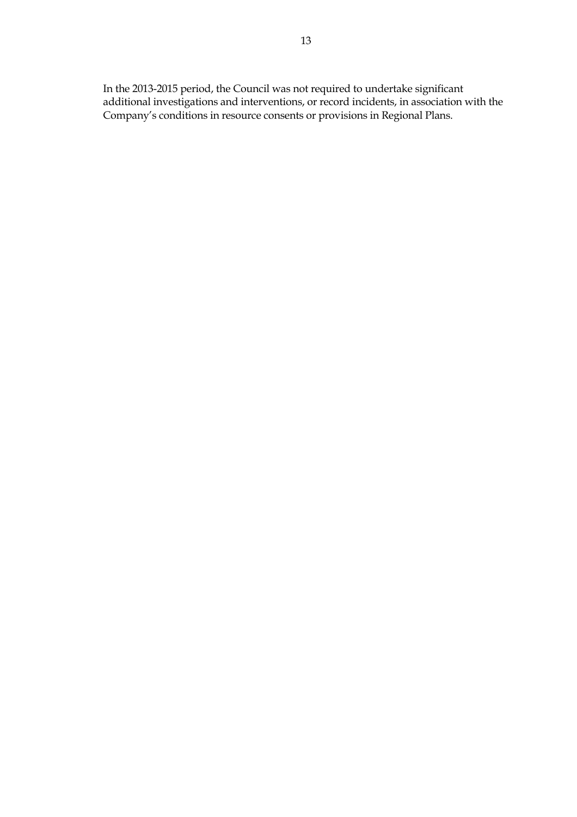In the 2013-2015 period, the Council was not required to undertake significant additional investigations and interventions, or record incidents, in association with the Company's conditions in resource consents or provisions in Regional Plans.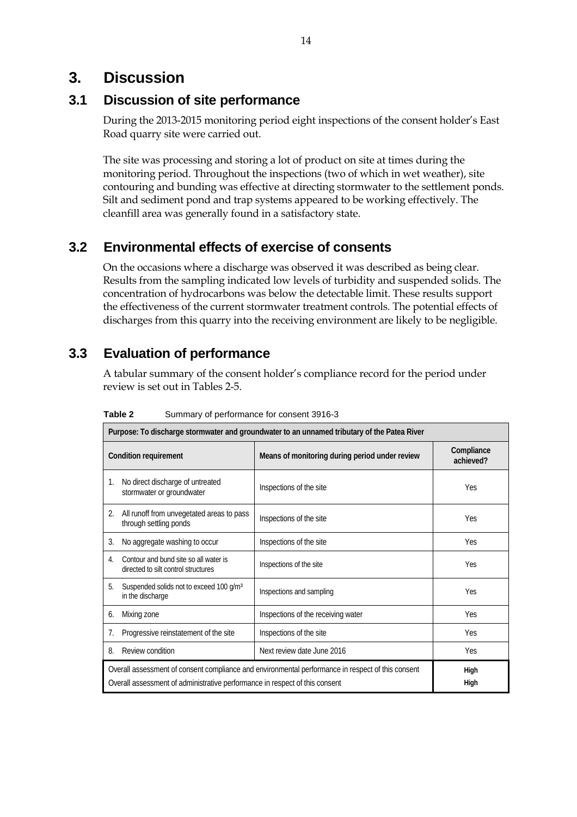# **3. Discussion**

## **3.1 Discussion of site performance**

During the 2013-2015 monitoring period eight inspections of the consent holder's East Road quarry site were carried out.

The site was processing and storing a lot of product on site at times during the monitoring period. Throughout the inspections (two of which in wet weather), site contouring and bunding was effective at directing stormwater to the settlement ponds. Silt and sediment pond and trap systems appeared to be working effectively. The cleanfill area was generally found in a satisfactory state.

# **3.2 Environmental effects of exercise of consents**

On the occasions where a discharge was observed it was described as being clear. Results from the sampling indicated low levels of turbidity and suspended solids. The concentration of hydrocarbons was below the detectable limit. These results support the effectiveness of the current stormwater treatment controls. The potential effects of discharges from this quarry into the receiving environment are likely to be negligible.

# **3.3 Evaluation of performance**

A tabular summary of the consent holder's compliance record for the period under review is set out in Tables 2-5.

|                                                                                                                                                                                  | Purpose: To discharge stormwater and groundwater to an unnamed tributary of the Patea River |                                                |                         |  |
|----------------------------------------------------------------------------------------------------------------------------------------------------------------------------------|---------------------------------------------------------------------------------------------|------------------------------------------------|-------------------------|--|
|                                                                                                                                                                                  | <b>Condition requirement</b>                                                                | Means of monitoring during period under review | Compliance<br>achieved? |  |
| 1.                                                                                                                                                                               | No direct discharge of untreated<br>stormwater or groundwater                               | Inspections of the site                        | <b>Yes</b>              |  |
| 2.                                                                                                                                                                               | All runoff from unvegetated areas to pass<br>through settling ponds                         | Inspections of the site                        | <b>Yes</b>              |  |
| 3.                                                                                                                                                                               | No aggregate washing to occur                                                               | Inspections of the site                        | <b>Yes</b>              |  |
| 4                                                                                                                                                                                | Contour and bund site so all water is<br>directed to silt control structures                | Inspections of the site                        | Yes                     |  |
| 5.                                                                                                                                                                               | Suspended solids not to exceed 100 g/m <sup>3</sup><br>in the discharge                     | Inspections and sampling                       | <b>Yes</b>              |  |
| 6.                                                                                                                                                                               | Mixing zone                                                                                 | Inspections of the receiving water             | <b>Yes</b>              |  |
| 7.                                                                                                                                                                               | Progressive reinstatement of the site                                                       | Inspections of the site                        | <b>Yes</b>              |  |
| 8.                                                                                                                                                                               | Review condition                                                                            | Next review date June 2016                     | <b>Yes</b>              |  |
| Overall assessment of consent compliance and environmental performance in respect of this consent<br>Overall assessment of administrative performance in respect of this consent |                                                                                             |                                                | High<br>High            |  |

**Table 2** Summary of performance for consent 3916-3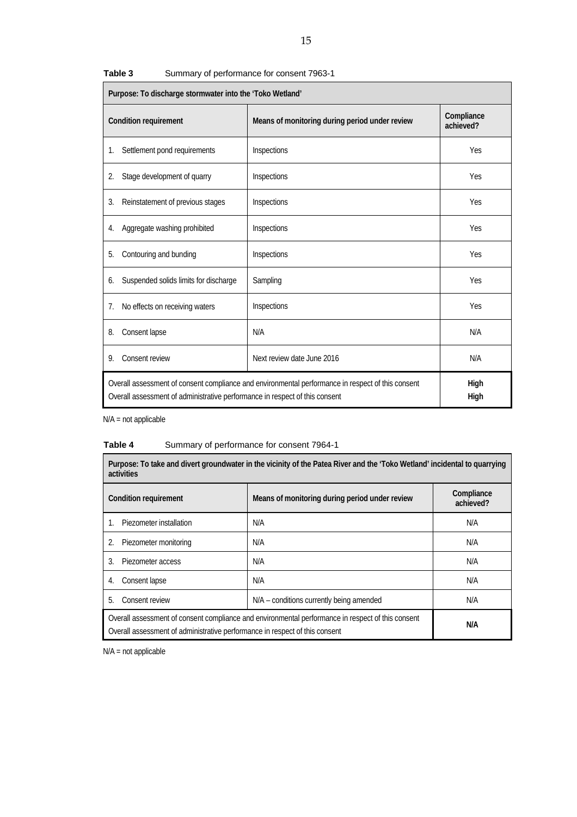| Purpose: To discharge stormwater into the 'Toko Wetland'                                                                                                                         |                            |                         |  |
|----------------------------------------------------------------------------------------------------------------------------------------------------------------------------------|----------------------------|-------------------------|--|
| Condition requirement<br>Means of monitoring during period under review                                                                                                          |                            | Compliance<br>achieved? |  |
| Settlement pond requirements<br>1.                                                                                                                                               | Inspections                | Yes                     |  |
| Stage development of quarry<br>2.                                                                                                                                                | Inspections                | Yes                     |  |
| Reinstatement of previous stages<br>3.                                                                                                                                           | Inspections                | Yes                     |  |
| Aggregate washing prohibited<br>4.                                                                                                                                               | Inspections                | Yes                     |  |
| Contouring and bunding<br>5.                                                                                                                                                     | Inspections                | Yes                     |  |
| Suspended solids limits for discharge<br>6.                                                                                                                                      | Sampling                   | Yes                     |  |
| No effects on receiving waters<br>7.                                                                                                                                             | Inspections                | Yes                     |  |
| Consent lapse<br>8.                                                                                                                                                              | N/A                        | N/A                     |  |
| Consent review<br>9.                                                                                                                                                             | Next review date June 2016 | N/A                     |  |
| Overall assessment of consent compliance and environmental performance in respect of this consent<br>Overall assessment of administrative performance in respect of this consent | High<br>High               |                         |  |

| Table 3 |  | Summary of performance for consent 7963-1 |  |  |
|---------|--|-------------------------------------------|--|--|
|---------|--|-------------------------------------------|--|--|

N/A = not applicable

### **Table 4** Summary of performance for consent 7964-1

| Purpose: To take and divert groundwater in the vicinity of the Patea River and the 'Toko Wetland' incidental to quarrying<br>activities                                                 |                                          |                         |  |
|-----------------------------------------------------------------------------------------------------------------------------------------------------------------------------------------|------------------------------------------|-------------------------|--|
| Means of monitoring during period under review<br>Condition requirement                                                                                                                 |                                          | Compliance<br>achieved? |  |
| Piezometer installation                                                                                                                                                                 | N/A                                      | N/A                     |  |
| Piezometer monitoring                                                                                                                                                                   | N/A                                      | N/A                     |  |
| Piezometer access<br>3.                                                                                                                                                                 | N/A                                      | N/A                     |  |
| Consent lapse<br>4.                                                                                                                                                                     | N/A                                      | N/A                     |  |
| Consent review<br>5.                                                                                                                                                                    | N/A – conditions currently being amended | N/A                     |  |
| Overall assessment of consent compliance and environmental performance in respect of this consent<br>N/A<br>Overall assessment of administrative performance in respect of this consent |                                          |                         |  |

N/A = not applicable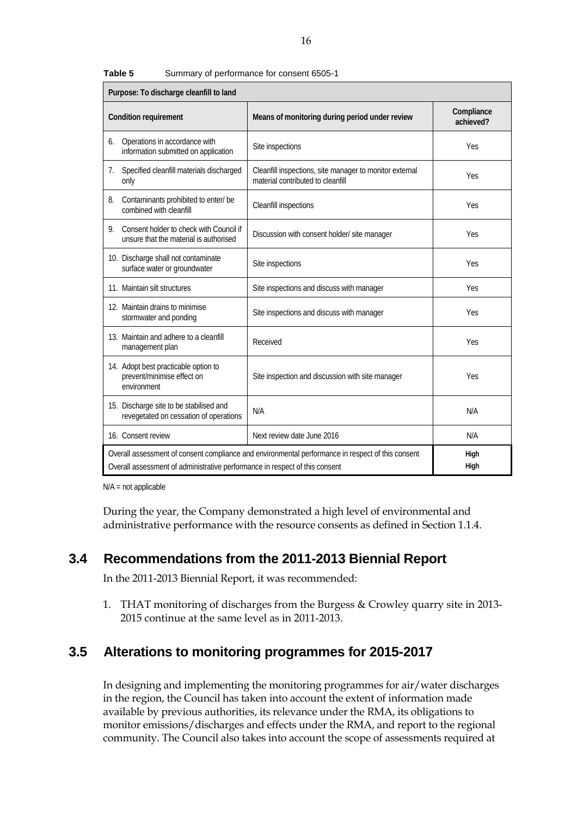| Purpose: To discharge cleanfill to land                                                 |                                                                                                                                                                                                  |                         |  |
|-----------------------------------------------------------------------------------------|--------------------------------------------------------------------------------------------------------------------------------------------------------------------------------------------------|-------------------------|--|
| <b>Condition requirement</b>                                                            | Means of monitoring during period under review                                                                                                                                                   | Compliance<br>achieved? |  |
| Operations in accordance with<br>6.<br>information submitted on application             | Site inspections                                                                                                                                                                                 | Yes                     |  |
| Specified cleanfill materials discharged<br>7.<br>only                                  | Cleanfill inspections, site manager to monitor external<br>material contributed to cleanfill                                                                                                     | Yes                     |  |
| Contaminants prohibited to enter/ be<br>8.<br>combined with cleanfill                   | Cleanfill inspections                                                                                                                                                                            | <b>Yes</b>              |  |
| Consent holder to check with Council if<br>9.<br>unsure that the material is authorised | Discussion with consent holder/ site manager                                                                                                                                                     | Yes                     |  |
| 10. Discharge shall not contaminate<br>surface water or groundwater                     | Site inspections                                                                                                                                                                                 | Yes                     |  |
| 11. Maintain silt structures                                                            | Site inspections and discuss with manager                                                                                                                                                        | Yes                     |  |
| 12. Maintain drains to minimise<br>stormwater and ponding                               | Site inspections and discuss with manager                                                                                                                                                        | Yes                     |  |
| 13. Maintain and adhere to a cleanfill<br>management plan                               | Received                                                                                                                                                                                         | Yes                     |  |
| 14. Adopt best practicable option to<br>prevent/minimise effect on<br>environment       | Site inspection and discussion with site manager                                                                                                                                                 | Yes                     |  |
| 15. Discharge site to be stabilised and<br>revegetated on cessation of operations       | N/A                                                                                                                                                                                              | N/A                     |  |
| 16. Consent review                                                                      | Next review date June 2016                                                                                                                                                                       | N/A                     |  |
|                                                                                         | Overall assessment of consent compliance and environmental performance in respect of this consent<br>High<br>High<br>Overall assessment of administrative performance in respect of this consent |                         |  |

**Table 5** Summary of performance for consent 6505-1

N/A = not applicable

During the year, the Company demonstrated a high level of environmental and administrative performance with the resource consents as defined in Section 1.1.4.

## **3.4 Recommendations from the 2011-2013 Biennial Report**

In the 2011-2013 Biennial Report, it was recommended:

1. THAT monitoring of discharges from the Burgess & Crowley quarry site in 2013- 2015 continue at the same level as in 2011-2013.

## **3.5 Alterations to monitoring programmes for 2015-2017**

In designing and implementing the monitoring programmes for air/water discharges in the region, the Council has taken into account the extent of information made available by previous authorities, its relevance under the RMA, its obligations to monitor emissions/discharges and effects under the RMA, and report to the regional community. The Council also takes into account the scope of assessments required at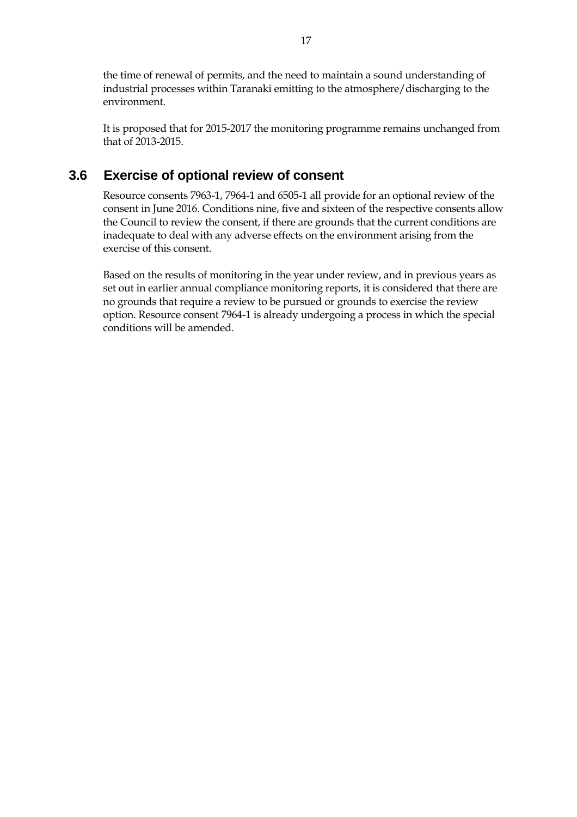the time of renewal of permits, and the need to maintain a sound understanding of industrial processes within Taranaki emitting to the atmosphere/discharging to the environment.

It is proposed that for 2015-2017 the monitoring programme remains unchanged from that of 2013-2015.

## **3.6 Exercise of optional review of consent**

Resource consents 7963-1, 7964-1 and 6505-1 all provide for an optional review of the consent in June 2016. Conditions nine, five and sixteen of the respective consents allow the Council to review the consent, if there are grounds that the current conditions are inadequate to deal with any adverse effects on the environment arising from the exercise of this consent.

Based on the results of monitoring in the year under review, and in previous years as set out in earlier annual compliance monitoring reports, it is considered that there are no grounds that require a review to be pursued or grounds to exercise the review option. Resource consent 7964-1 is already undergoing a process in which the special conditions will be amended.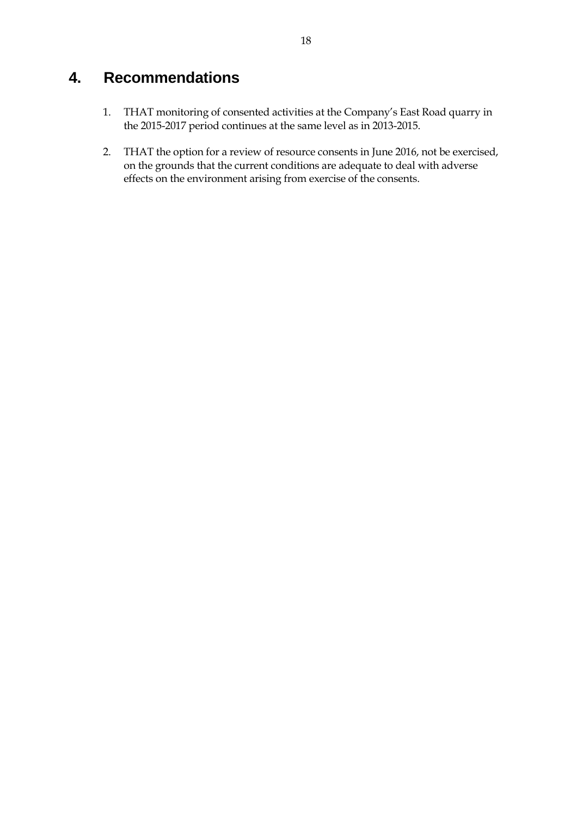# **4. Recommendations**

- 1. THAT monitoring of consented activities at the Company's East Road quarry in the 2015-2017 period continues at the same level as in 2013-2015.
- 2. THAT the option for a review of resource consents in June 2016, not be exercised, on the grounds that the current conditions are adequate to deal with adverse effects on the environment arising from exercise of the consents.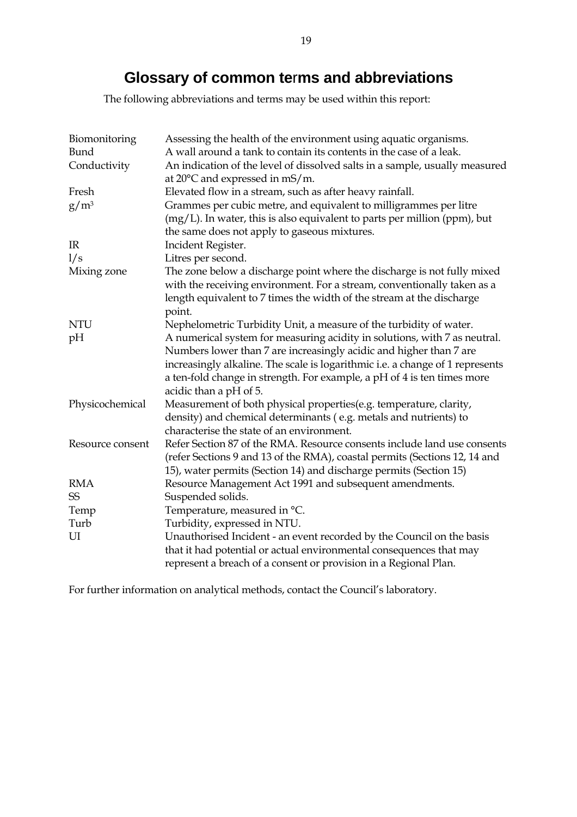# **Glossary of common te**r**ms and abbreviations**

The following abbreviations and terms may be used within this report:

| Biomonitoring<br>Bund<br>Conductivity | Assessing the health of the environment using aquatic organisms.<br>A wall around a tank to contain its contents in the case of a leak.<br>An indication of the level of dissolved salts in a sample, usually measured<br>at 20°C and expressed in mS/m. |
|---------------------------------------|----------------------------------------------------------------------------------------------------------------------------------------------------------------------------------------------------------------------------------------------------------|
| Fresh                                 | Elevated flow in a stream, such as after heavy rainfall.                                                                                                                                                                                                 |
| $g/m^3$                               | Grammes per cubic metre, and equivalent to milligrammes per litre<br>$(mg/L)$ . In water, this is also equivalent to parts per million (ppm), but<br>the same does not apply to gaseous mixtures.                                                        |
| IR                                    | Incident Register.                                                                                                                                                                                                                                       |
| 1/s                                   | Litres per second.                                                                                                                                                                                                                                       |
| Mixing zone                           | The zone below a discharge point where the discharge is not fully mixed                                                                                                                                                                                  |
|                                       | with the receiving environment. For a stream, conventionally taken as a                                                                                                                                                                                  |
|                                       | length equivalent to 7 times the width of the stream at the discharge                                                                                                                                                                                    |
|                                       | point.                                                                                                                                                                                                                                                   |
| <b>NTU</b>                            | Nephelometric Turbidity Unit, a measure of the turbidity of water.                                                                                                                                                                                       |
| pH                                    | A numerical system for measuring acidity in solutions, with 7 as neutral.                                                                                                                                                                                |
|                                       | Numbers lower than 7 are increasingly acidic and higher than 7 are                                                                                                                                                                                       |
|                                       | increasingly alkaline. The scale is logarithmic i.e. a change of 1 represents                                                                                                                                                                            |
|                                       | a ten-fold change in strength. For example, a pH of 4 is ten times more<br>acidic than a pH of 5.                                                                                                                                                        |
| Physicochemical                       | Measurement of both physical properties(e.g. temperature, clarity,                                                                                                                                                                                       |
|                                       | density) and chemical determinants (e.g. metals and nutrients) to<br>characterise the state of an environment.                                                                                                                                           |
| Resource consent                      | Refer Section 87 of the RMA. Resource consents include land use consents                                                                                                                                                                                 |
|                                       | (refer Sections 9 and 13 of the RMA), coastal permits (Sections 12, 14 and                                                                                                                                                                               |
|                                       | 15), water permits (Section 14) and discharge permits (Section 15)                                                                                                                                                                                       |
| <b>RMA</b>                            | Resource Management Act 1991 and subsequent amendments.                                                                                                                                                                                                  |
| SS                                    | Suspended solids.                                                                                                                                                                                                                                        |
| Temp                                  | Temperature, measured in °C.                                                                                                                                                                                                                             |
| Turb                                  | Turbidity, expressed in NTU.                                                                                                                                                                                                                             |
| UI                                    | Unauthorised Incident - an event recorded by the Council on the basis                                                                                                                                                                                    |
|                                       | that it had potential or actual environmental consequences that may                                                                                                                                                                                      |
|                                       | represent a breach of a consent or provision in a Regional Plan.                                                                                                                                                                                         |

For further information on analytical methods, contact the Council's laboratory.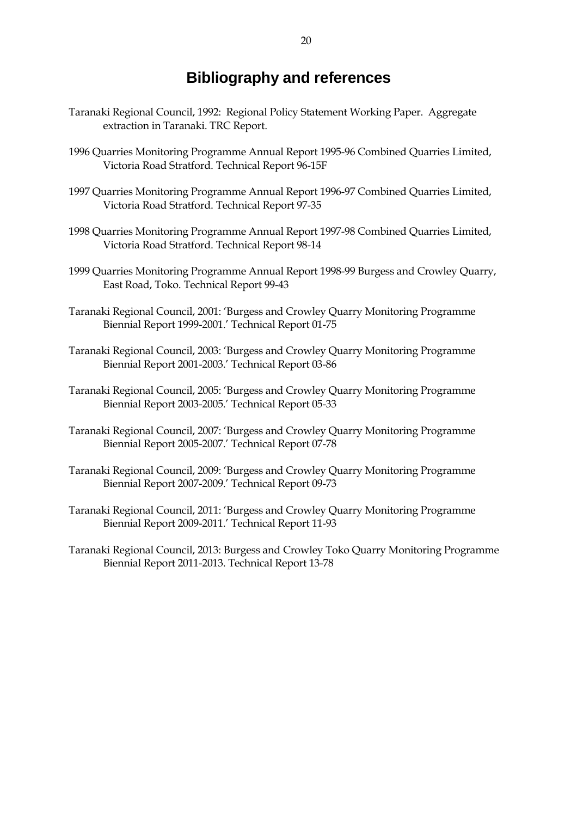# **Bibliography and references**

- Taranaki Regional Council, 1992: Regional Policy Statement Working Paper. Aggregate extraction in Taranaki. TRC Report.
- 1996 Quarries Monitoring Programme Annual Report 1995-96 Combined Quarries Limited, Victoria Road Stratford. Technical Report 96-15F
- 1997 Quarries Monitoring Programme Annual Report 1996-97 Combined Quarries Limited, Victoria Road Stratford. Technical Report 97-35
- 1998 Quarries Monitoring Programme Annual Report 1997-98 Combined Quarries Limited, Victoria Road Stratford. Technical Report 98-14
- 1999 Quarries Monitoring Programme Annual Report 1998-99 Burgess and Crowley Quarry, East Road, Toko. Technical Report 99-43
- Taranaki Regional Council, 2001: 'Burgess and Crowley Quarry Monitoring Programme Biennial Report 1999-2001.' Technical Report 01-75
- Taranaki Regional Council, 2003: 'Burgess and Crowley Quarry Monitoring Programme Biennial Report 2001-2003.' Technical Report 03-86
- Taranaki Regional Council, 2005: 'Burgess and Crowley Quarry Monitoring Programme Biennial Report 2003-2005.' Technical Report 05-33
- Taranaki Regional Council, 2007: 'Burgess and Crowley Quarry Monitoring Programme Biennial Report 2005-2007.' Technical Report 07-78
- Taranaki Regional Council, 2009: 'Burgess and Crowley Quarry Monitoring Programme Biennial Report 2007-2009.' Technical Report 09-73
- Taranaki Regional Council, 2011: 'Burgess and Crowley Quarry Monitoring Programme Biennial Report 2009-2011.' Technical Report 11-93
- Taranaki Regional Council, 2013: Burgess and Crowley Toko Quarry Monitoring Programme Biennial Report 2011-2013. Technical Report 13-78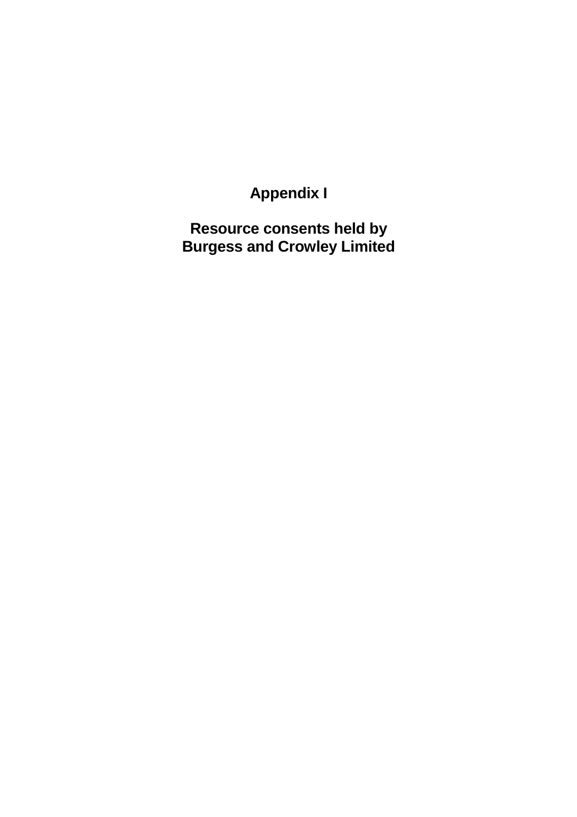# **Appendix I**

**Resource consents held by Burgess and Crowley Limited**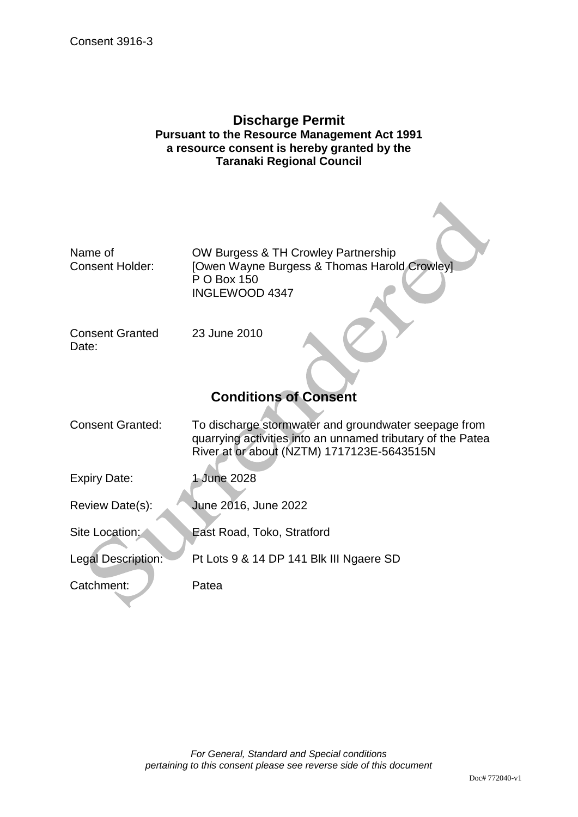### **Discharge Permit Pursuant to the Resource Management Act 1991 a resource consent is hereby granted by the Taranaki Regional Council**

| Name of                         | OW Burgess & TH Crowley Partnership                                                                       |
|---------------------------------|-----------------------------------------------------------------------------------------------------------|
| <b>Consent Holder:</b>          | [Owen Wayne Burgess & Thomas Harold Crowley]<br>P O Box 150<br><b>INGLEWOOD 4347</b>                      |
| <b>Consent Granted</b><br>Date: | 23 June 2010                                                                                              |
|                                 | <b>Conditions of Consent</b>                                                                              |
| <b>Consent Granted:</b>         | To discharge stormwater and groundwater seepage from                                                      |
|                                 | quarrying activities into an unnamed tributary of the Patea<br>River at or about (NZTM) 1717123E-5643515N |
| <b>Expiry Date:</b>             | 1 June 2028                                                                                               |
| Review Date(s):                 | June 2016, June 2022                                                                                      |
| Site Location:                  | East Road, Toko, Stratford                                                                                |
| Legal Description:              | Pt Lots 9 & 14 DP 141 Blk III Ngaere SD                                                                   |
| Catchment:                      | Patea                                                                                                     |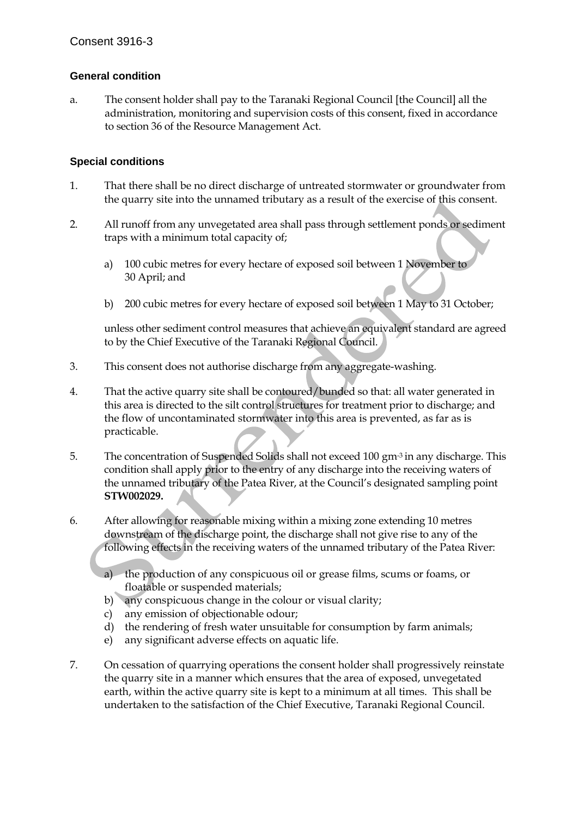### **General condition**

a. The consent holder shall pay to the Taranaki Regional Council [the Council] all the administration, monitoring and supervision costs of this consent, fixed in accordance to section 36 of the Resource Management Act.

#### **Special conditions**

- 1. That there shall be no direct discharge of untreated stormwater or groundwater from the quarry site into the unnamed tributary as a result of the exercise of this consent.
- 2. All runoff from any unvegetated area shall pass through settlement ponds or sediment traps with a minimum total capacity of;
	- a) 100 cubic metres for every hectare of exposed soil between 1 November to 30 April; and
	- b) 200 cubic metres for every hectare of exposed soil between 1 May to 31 October;

unless other sediment control measures that achieve an equivalent standard are agreed to by the Chief Executive of the Taranaki Regional Council.

- 3. This consent does not authorise discharge from any aggregate-washing.
- 4. That the active quarry site shall be contoured/bunded so that: all water generated in this area is directed to the silt control structures for treatment prior to discharge; and the flow of uncontaminated stormwater into this area is prevented, as far as is practicable.
- 5. The concentration of Suspended Solids shall not exceed 100 gm-3 in any discharge. This condition shall apply prior to the entry of any discharge into the receiving waters of the unnamed tributary of the Patea River, at the Council's designated sampling point **STW002029.**
- 6. After allowing for reasonable mixing within a mixing zone extending 10 metres downstream of the discharge point, the discharge shall not give rise to any of the following effects in the receiving waters of the unnamed tributary of the Patea River:
	- a) the production of any conspicuous oil or grease films, scums or foams, or floatable or suspended materials;
	- b) any conspicuous change in the colour or visual clarity;
	- c) any emission of objectionable odour;
	- d) the rendering of fresh water unsuitable for consumption by farm animals;
	- e) any significant adverse effects on aquatic life.
- 7. On cessation of quarrying operations the consent holder shall progressively reinstate the quarry site in a manner which ensures that the area of exposed, unvegetated earth, within the active quarry site is kept to a minimum at all times. This shall be undertaken to the satisfaction of the Chief Executive, Taranaki Regional Council.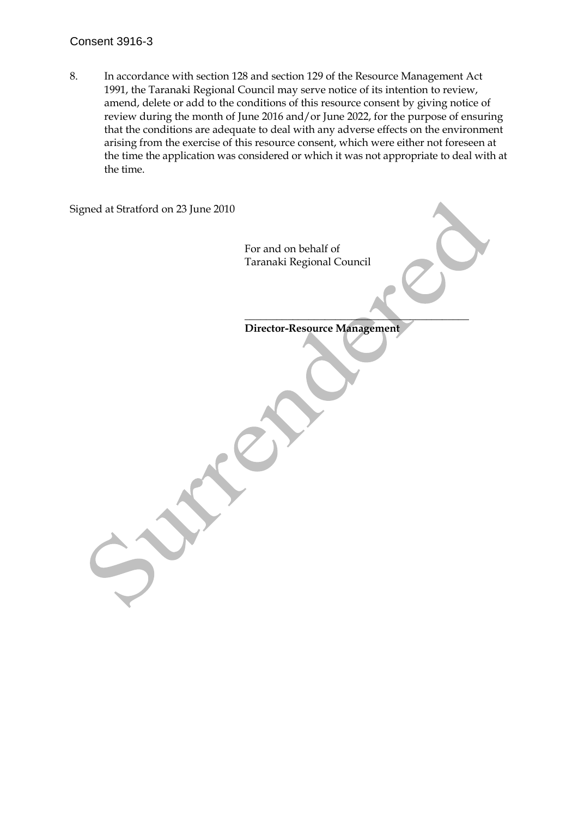#### Consent 3916-3

8. In accordance with section 128 and section 129 of the Resource Management Act 1991, the Taranaki Regional Council may serve notice of its intention to review, amend, delete or add to the conditions of this resource consent by giving notice of review during the month of June 2016 and/or June 2022, for the purpose of ensuring that the conditions are adequate to deal with any adverse effects on the environment arising from the exercise of this resource consent, which were either not foreseen at the time the application was considered or which it was not appropriate to deal with at the time.

| For and on behalf of<br>Taranaki Regional Council |
|---------------------------------------------------|
|                                                   |
| Director-Resource Management                      |
|                                                   |
|                                                   |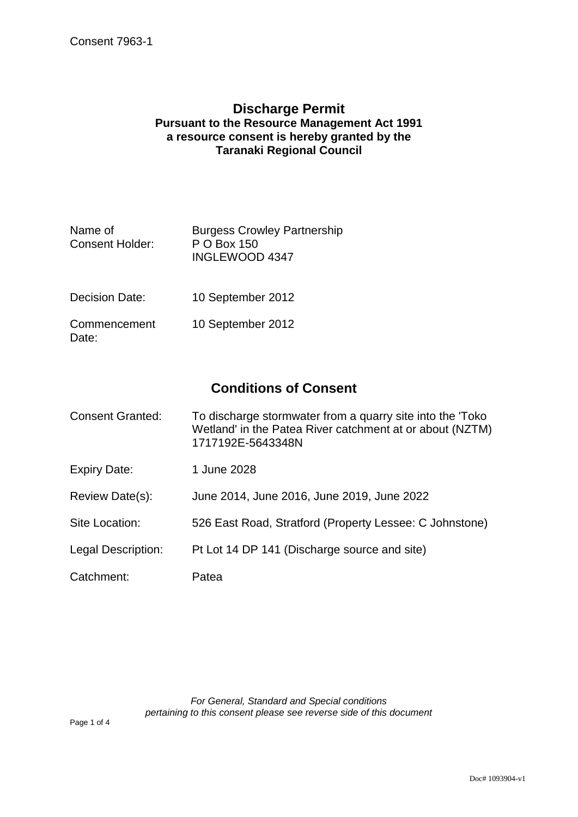## **Discharge Permit Pursuant to the Resource Management Act 1991 a resource consent is hereby granted by the Taranaki Regional Council**

| Name of<br><b>Consent Holder:</b> | <b>Burgess Crowley Partnership</b><br>P O Box 150<br>INGLEWOOD 4347 |
|-----------------------------------|---------------------------------------------------------------------|
|                                   |                                                                     |

- Decision Date: 10 September 2012
- **Commencement** Date: 10 September 2012

# **Conditions of Consent**

| <b>Consent Granted:</b> | To discharge stormwater from a quarry site into the 'Toko<br>Wetland' in the Patea River catchment at or about (NZTM)<br>1717192E-5643348N |
|-------------------------|--------------------------------------------------------------------------------------------------------------------------------------------|
| <b>Expiry Date:</b>     | 1 June 2028                                                                                                                                |
| Review Date(s):         | June 2014, June 2016, June 2019, June 2022                                                                                                 |
| Site Location:          | 526 East Road, Stratford (Property Lessee: C Johnstone)                                                                                    |
| Legal Description:      | Pt Lot 14 DP 141 (Discharge source and site)                                                                                               |
| Catchment:              | Patea                                                                                                                                      |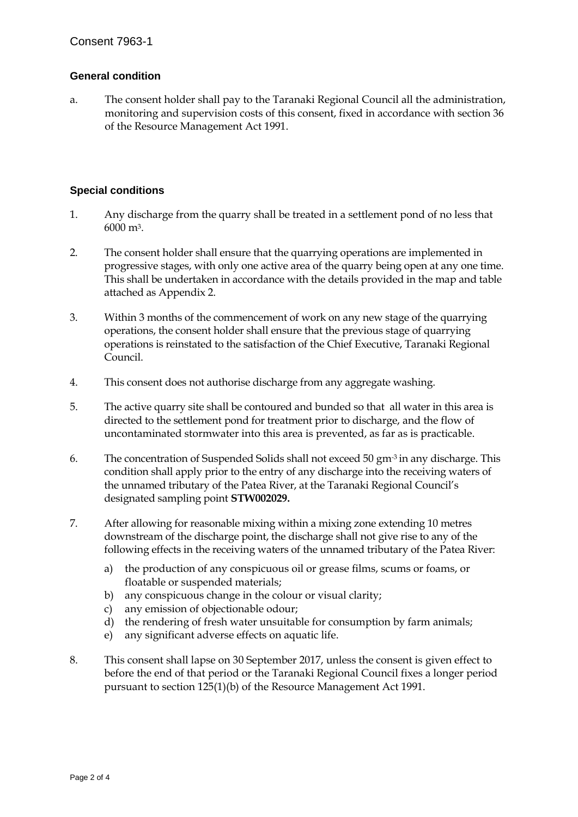#### **General condition**

a. The consent holder shall pay to the Taranaki Regional Council all the administration, monitoring and supervision costs of this consent, fixed in accordance with section 36 of the Resource Management Act 1991.

#### **Special conditions**

- 1. Any discharge from the quarry shall be treated in a settlement pond of no less that 6000 m3.
- 2. The consent holder shall ensure that the quarrying operations are implemented in progressive stages, with only one active area of the quarry being open at any one time. This shall be undertaken in accordance with the details provided in the map and table attached as Appendix 2.
- 3. Within 3 months of the commencement of work on any new stage of the quarrying operations, the consent holder shall ensure that the previous stage of quarrying operations is reinstated to the satisfaction of the Chief Executive, Taranaki Regional Council.
- 4. This consent does not authorise discharge from any aggregate washing.
- 5. The active quarry site shall be contoured and bunded so that all water in this area is directed to the settlement pond for treatment prior to discharge, and the flow of uncontaminated stormwater into this area is prevented, as far as is practicable.
- 6. The concentration of Suspended Solids shall not exceed 50 gm-3 in any discharge. This condition shall apply prior to the entry of any discharge into the receiving waters of the unnamed tributary of the Patea River, at the Taranaki Regional Council's designated sampling point **STW002029.**
- 7. After allowing for reasonable mixing within a mixing zone extending 10 metres downstream of the discharge point, the discharge shall not give rise to any of the following effects in the receiving waters of the unnamed tributary of the Patea River:
	- a) the production of any conspicuous oil or grease films, scums or foams, or floatable or suspended materials;
	- b) any conspicuous change in the colour or visual clarity;
	- c) any emission of objectionable odour;
	- d) the rendering of fresh water unsuitable for consumption by farm animals;
	- e) any significant adverse effects on aquatic life.
- 8. This consent shall lapse on 30 September 2017, unless the consent is given effect to before the end of that period or the Taranaki Regional Council fixes a longer period pursuant to section 125(1)(b) of the Resource Management Act 1991.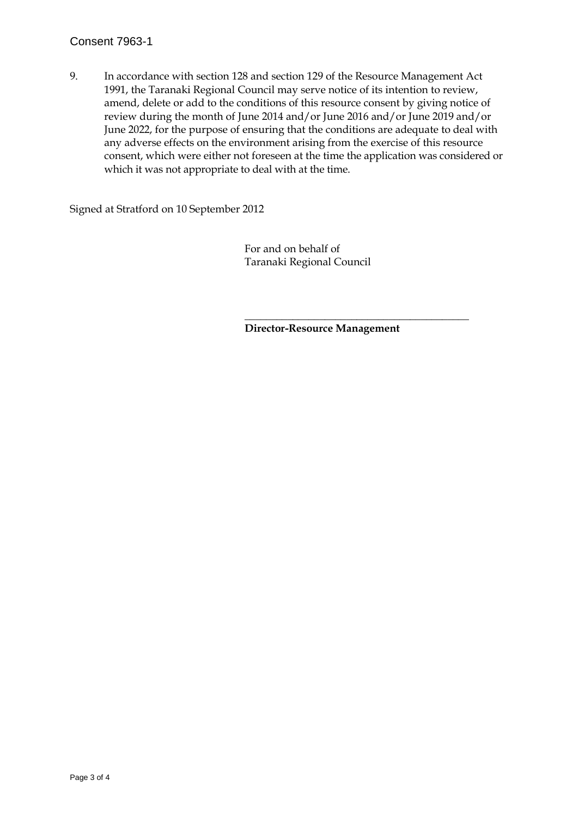#### Consent 7963-1

9. In accordance with section 128 and section 129 of the Resource Management Act 1991, the Taranaki Regional Council may serve notice of its intention to review, amend, delete or add to the conditions of this resource consent by giving notice of review during the month of June 2014 and/or June 2016 and/or June 2019 and/or June 2022, for the purpose of ensuring that the conditions are adequate to deal with any adverse effects on the environment arising from the exercise of this resource consent, which were either not foreseen at the time the application was considered or which it was not appropriate to deal with at the time.

Signed at Stratford on 10 September 2012

 For and on behalf of Taranaki Regional Council

 $\overline{\phantom{a}}$  , which is a set of the set of the set of the set of the set of the set of the set of the set of the set of the set of the set of the set of the set of the set of the set of the set of the set of the set of th

**Director-Resource Management**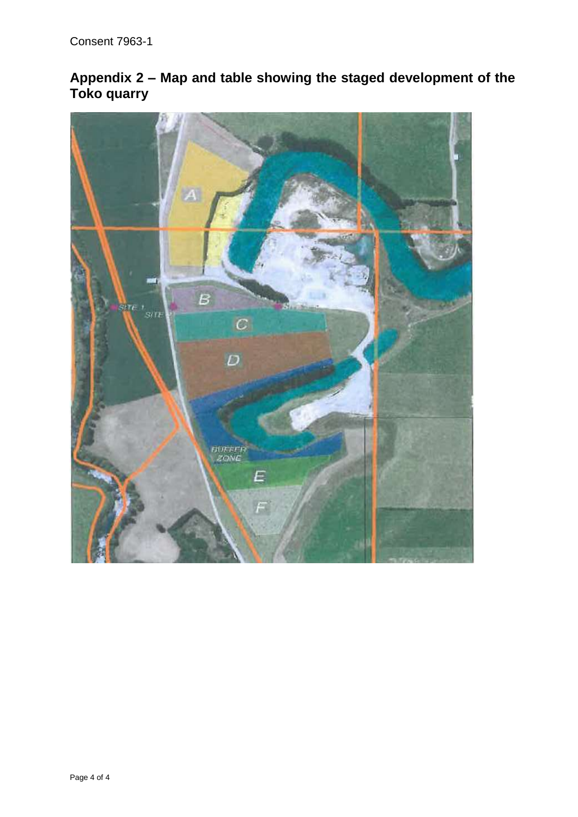# **Appendix 2 – Map and table showing the staged development of the Toko quarry**

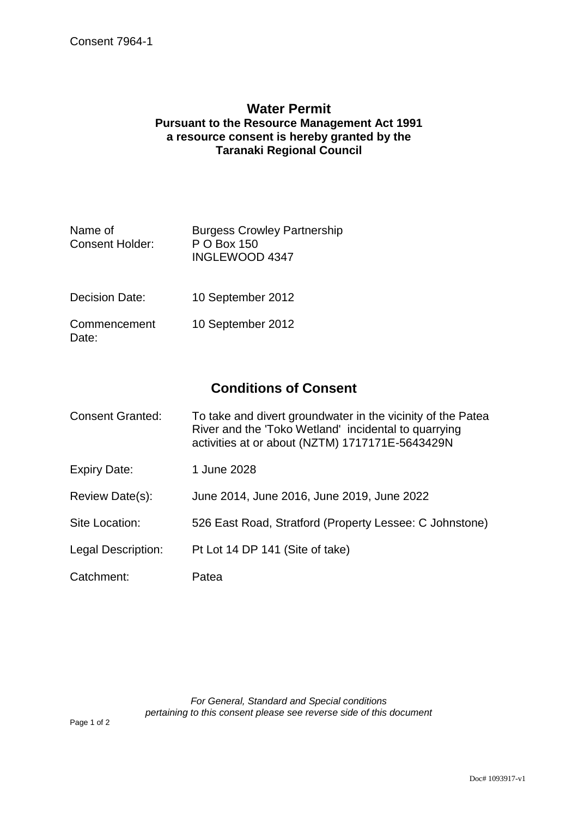## **Water Permit Pursuant to the Resource Management Act 1991 a resource consent is hereby granted by the Taranaki Regional Council**

| Name of<br>Consent Holder: | <b>Burgess Crowley Partnership</b><br>P O Box 150<br>INGLEWOOD 4347 |
|----------------------------|---------------------------------------------------------------------|
|                            |                                                                     |

- Decision Date: 10 September 2012
- **Commencement** Date: 10 September 2012

# **Conditions of Consent**

| <b>Consent Granted:</b> | To take and divert groundwater in the vicinity of the Patea<br>River and the 'Toko Wetland' incidental to quarrying<br>activities at or about (NZTM) 1717171E-5643429N |
|-------------------------|------------------------------------------------------------------------------------------------------------------------------------------------------------------------|
| <b>Expiry Date:</b>     | 1 June 2028                                                                                                                                                            |
| Review Date(s):         | June 2014, June 2016, June 2019, June 2022                                                                                                                             |
| Site Location:          | 526 East Road, Stratford (Property Lessee: C Johnstone)                                                                                                                |
| Legal Description:      | Pt Lot 14 DP 141 (Site of take)                                                                                                                                        |
| Catchment:              | Patea                                                                                                                                                                  |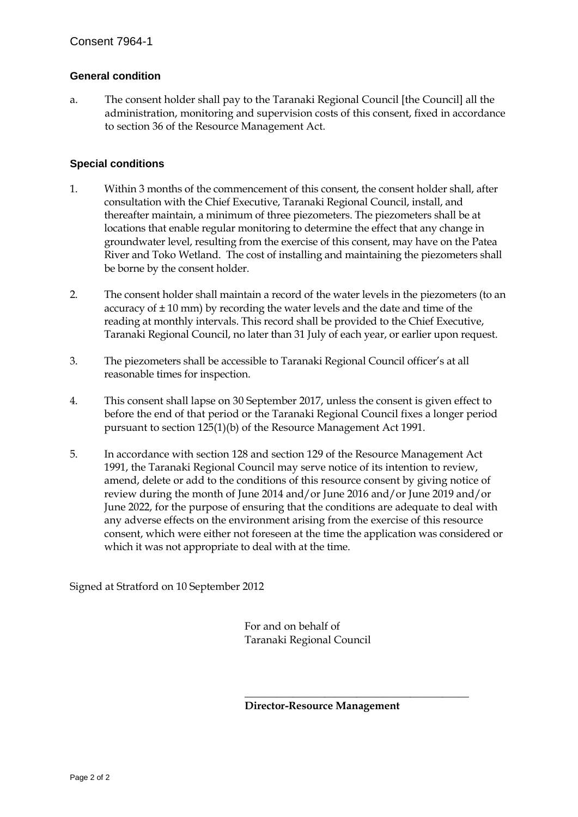#### **General condition**

a. The consent holder shall pay to the Taranaki Regional Council [the Council] all the administration, monitoring and supervision costs of this consent, fixed in accordance to section 36 of the Resource Management Act.

#### **Special conditions**

- 1. Within 3 months of the commencement of this consent, the consent holder shall, after consultation with the Chief Executive, Taranaki Regional Council, install, and thereafter maintain, a minimum of three piezometers. The piezometers shall be at locations that enable regular monitoring to determine the effect that any change in groundwater level, resulting from the exercise of this consent, may have on the Patea River and Toko Wetland. The cost of installing and maintaining the piezometers shall be borne by the consent holder.
- 2. The consent holder shall maintain a record of the water levels in the piezometers (to an accuracy of  $\pm$  10 mm) by recording the water levels and the date and time of the reading at monthly intervals. This record shall be provided to the Chief Executive, Taranaki Regional Council, no later than 31 July of each year, or earlier upon request.
- 3. The piezometers shall be accessible to Taranaki Regional Council officer's at all reasonable times for inspection.
- 4. This consent shall lapse on 30 September 2017, unless the consent is given effect to before the end of that period or the Taranaki Regional Council fixes a longer period pursuant to section 125(1)(b) of the Resource Management Act 1991.
- 5. In accordance with section 128 and section 129 of the Resource Management Act 1991, the Taranaki Regional Council may serve notice of its intention to review, amend, delete or add to the conditions of this resource consent by giving notice of review during the month of June 2014 and/or June 2016 and/or June 2019 and/or June 2022, for the purpose of ensuring that the conditions are adequate to deal with any adverse effects on the environment arising from the exercise of this resource consent, which were either not foreseen at the time the application was considered or which it was not appropriate to deal with at the time.

Signed at Stratford on 10 September 2012

 For and on behalf of Taranaki Regional Council

 $\overline{\phantom{a}}$  , which is a set of the set of the set of the set of the set of the set of the set of the set of the set of the set of the set of the set of the set of the set of the set of the set of the set of the set of th

**Director-Resource Management**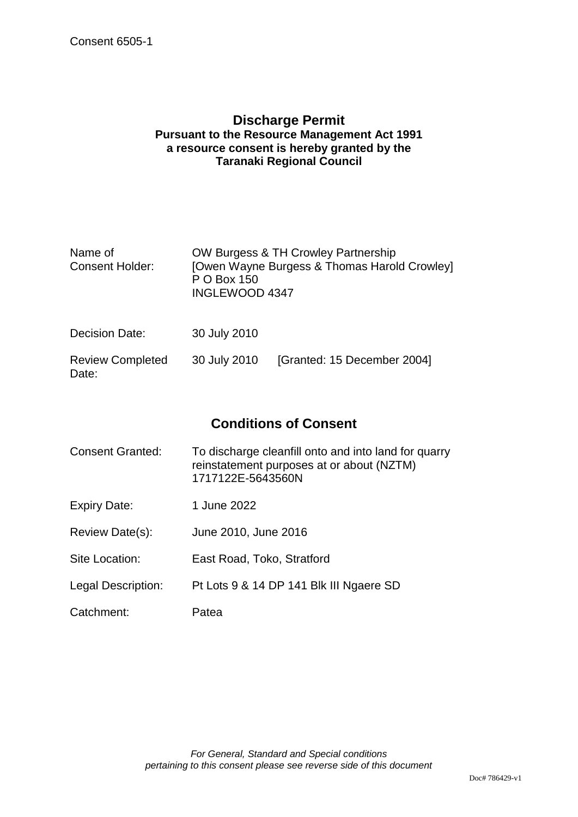Date:

## **Discharge Permit Pursuant to the Resource Management Act 1991 a resource consent is hereby granted by the Taranaki Regional Council**

| Name of<br><b>Consent Holder:</b> | P O Box 150<br>INGLEWOOD 4347 | OW Burgess & TH Crowley Partnership<br>[Owen Wayne Burgess & Thomas Harold Crowley] |
|-----------------------------------|-------------------------------|-------------------------------------------------------------------------------------|
| Decision Date:                    | 30 July 2010                  |                                                                                     |
| <b>Review Completed</b>           | 30 July 2010                  | [Granted: 15 December 2004]                                                         |

# **Conditions of Consent**

| <b>Consent Granted:</b> | To discharge cleanfill onto and into land for quarry<br>reinstatement purposes at or about (NZTM)<br>1717122E-5643560N |
|-------------------------|------------------------------------------------------------------------------------------------------------------------|
| Expiry Date:            | 1 June 2022                                                                                                            |
| Review Date(s):         | June 2010, June 2016                                                                                                   |
| Site Location:          | East Road, Toko, Stratford                                                                                             |
| Legal Description:      | Pt Lots 9 & 14 DP 141 Blk III Ngaere SD                                                                                |
| Catchment:              | Patea                                                                                                                  |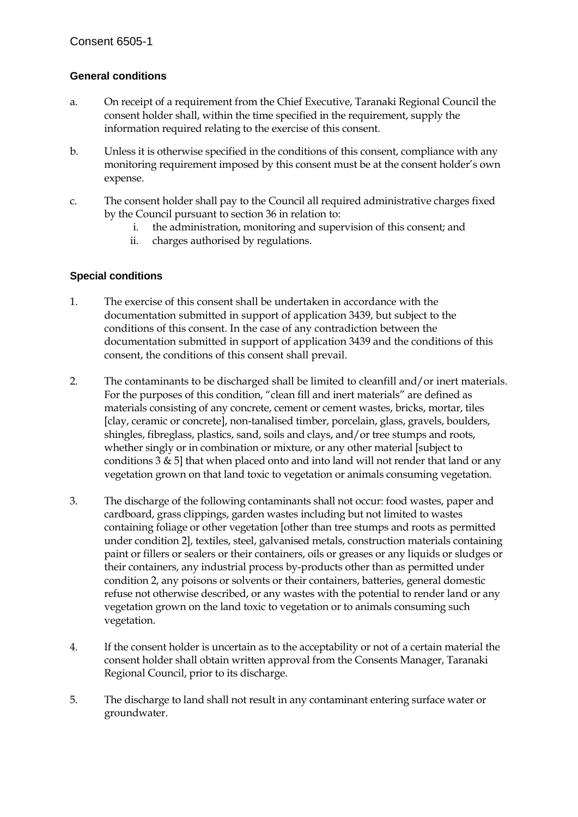### **General conditions**

- a. On receipt of a requirement from the Chief Executive, Taranaki Regional Council the consent holder shall, within the time specified in the requirement, supply the information required relating to the exercise of this consent.
- b. Unless it is otherwise specified in the conditions of this consent, compliance with any monitoring requirement imposed by this consent must be at the consent holder's own expense.
- c. The consent holder shall pay to the Council all required administrative charges fixed by the Council pursuant to section 36 in relation to:
	- i. the administration, monitoring and supervision of this consent; and
	- ii. charges authorised by regulations.

#### **Special conditions**

- 1. The exercise of this consent shall be undertaken in accordance with the documentation submitted in support of application 3439, but subject to the conditions of this consent. In the case of any contradiction between the documentation submitted in support of application 3439 and the conditions of this consent, the conditions of this consent shall prevail.
- 2. The contaminants to be discharged shall be limited to cleanfill and/or inert materials. For the purposes of this condition, "clean fill and inert materials" are defined as materials consisting of any concrete, cement or cement wastes, bricks, mortar, tiles [clay, ceramic or concrete], non-tanalised timber, porcelain, glass, gravels, boulders, shingles, fibreglass, plastics, sand, soils and clays, and/or tree stumps and roots, whether singly or in combination or mixture, or any other material [subject to conditions  $3 \& 5$ ] that when placed onto and into land will not render that land or any vegetation grown on that land toxic to vegetation or animals consuming vegetation.
- 3. The discharge of the following contaminants shall not occur: food wastes, paper and cardboard, grass clippings, garden wastes including but not limited to wastes containing foliage or other vegetation [other than tree stumps and roots as permitted under condition 2], textiles, steel, galvanised metals, construction materials containing paint or fillers or sealers or their containers, oils or greases or any liquids or sludges or their containers, any industrial process by-products other than as permitted under condition 2, any poisons or solvents or their containers, batteries, general domestic refuse not otherwise described, or any wastes with the potential to render land or any vegetation grown on the land toxic to vegetation or to animals consuming such vegetation.
- 4. If the consent holder is uncertain as to the acceptability or not of a certain material the consent holder shall obtain written approval from the Consents Manager, Taranaki Regional Council, prior to its discharge.
- 5. The discharge to land shall not result in any contaminant entering surface water or groundwater.